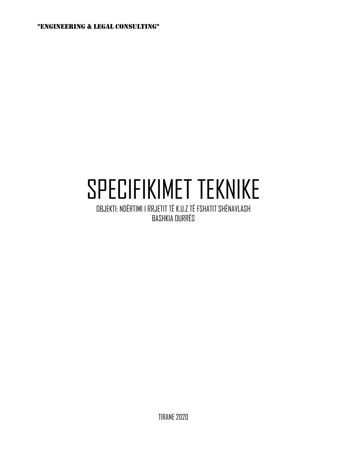"ENGINEERING & LEGAL CONSULTING"

# SPECIFIKIMET TEKNIKE

OBJEKTI: NDËRTIMI I RRJETIT TË K.U.Z TË FSHATIT SHËNAVLASH BASHKIA DURRËS

TIRANE 2020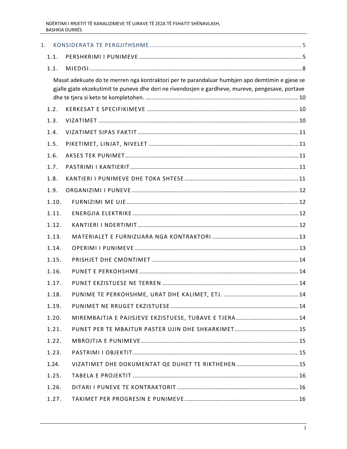| 1. |       |                                                                                                                                                                                                     |
|----|-------|-----------------------------------------------------------------------------------------------------------------------------------------------------------------------------------------------------|
|    | 1.1.  |                                                                                                                                                                                                     |
|    | 1.1.  |                                                                                                                                                                                                     |
|    |       | Masat adekuate do te merren nga kontraktori per te parandaluar humbjen apo demtimin e gjese se<br>gjalle gjate ekzekutimit te puneve dhe deri ne rivendosjen e gardheve, mureve, pengesave, portave |
|    | 1.2.  |                                                                                                                                                                                                     |
|    | 1.3.  |                                                                                                                                                                                                     |
|    | 1.4.  |                                                                                                                                                                                                     |
|    | 1.5.  |                                                                                                                                                                                                     |
|    | 1.6.  |                                                                                                                                                                                                     |
|    | 1.7.  |                                                                                                                                                                                                     |
|    | 1.8.  |                                                                                                                                                                                                     |
|    | 1.9.  |                                                                                                                                                                                                     |
|    | 1.10. |                                                                                                                                                                                                     |
|    | 1.11. |                                                                                                                                                                                                     |
|    | 1.12. |                                                                                                                                                                                                     |
|    | 1.13. |                                                                                                                                                                                                     |
|    | 1.14. |                                                                                                                                                                                                     |
|    | 1.15. |                                                                                                                                                                                                     |
|    | 1.16. |                                                                                                                                                                                                     |
|    | 1.17. |                                                                                                                                                                                                     |
|    | 1.18. |                                                                                                                                                                                                     |
|    | 1.19. |                                                                                                                                                                                                     |
|    | 1.20. |                                                                                                                                                                                                     |
|    | 1.21. |                                                                                                                                                                                                     |
|    | 1.22. |                                                                                                                                                                                                     |
|    | 1.23. |                                                                                                                                                                                                     |
|    | 1.24. |                                                                                                                                                                                                     |
|    | 1.25. |                                                                                                                                                                                                     |
|    | 1.26. |                                                                                                                                                                                                     |
|    | 1.27. |                                                                                                                                                                                                     |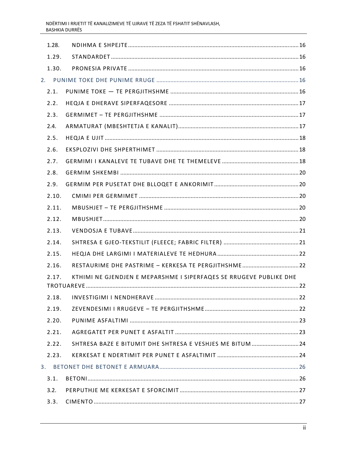|    | 1.28. |                                                                    |  |
|----|-------|--------------------------------------------------------------------|--|
|    | 1.29. |                                                                    |  |
|    | 1.30. |                                                                    |  |
| 2. |       |                                                                    |  |
|    | 2.1.  |                                                                    |  |
|    | 2.2.  |                                                                    |  |
|    | 2.3.  |                                                                    |  |
|    | 2.4.  |                                                                    |  |
|    | 2.5.  |                                                                    |  |
|    | 2.6.  |                                                                    |  |
|    | 2.7.  |                                                                    |  |
|    | 2.8.  |                                                                    |  |
|    | 2.9.  |                                                                    |  |
|    | 2.10. |                                                                    |  |
|    | 2.11. |                                                                    |  |
|    | 2.12. |                                                                    |  |
|    | 2.13. |                                                                    |  |
|    | 2.14. |                                                                    |  |
|    | 2.15. |                                                                    |  |
|    | 2.16. |                                                                    |  |
|    | 2.17. | KTHIMI NE GJENDJEN E MEPARSHME I SIPERFAQES SE RRUGEVE PUBLIKE DHE |  |
|    | 2.18. |                                                                    |  |
|    | 2.19. |                                                                    |  |
|    | 2.20. |                                                                    |  |
|    | 2.21. |                                                                    |  |
|    | 2.22. | SHTRESA BAZE E BITUMIT DHE SHTRESA E VESHJES ME BITUM  24          |  |
|    | 2.23. |                                                                    |  |
|    | 3.    |                                                                    |  |
|    | 3.1.  |                                                                    |  |
|    | 3.2.  |                                                                    |  |
|    | 3.3.  |                                                                    |  |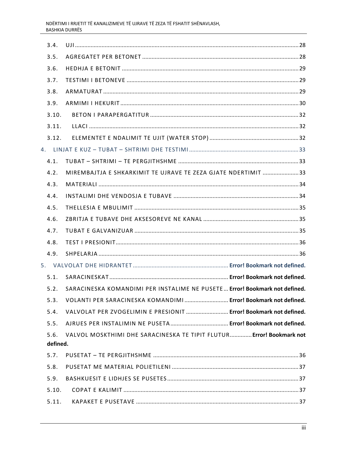|                  | 3.4.  |                                                                            |  |
|------------------|-------|----------------------------------------------------------------------------|--|
|                  | 3.5.  |                                                                            |  |
|                  | 3.6.  |                                                                            |  |
|                  | 3.7.  |                                                                            |  |
|                  | 3.8.  |                                                                            |  |
|                  | 3.9.  |                                                                            |  |
|                  | 3.10. |                                                                            |  |
|                  | 3.11. |                                                                            |  |
|                  | 3.12. |                                                                            |  |
|                  |       |                                                                            |  |
|                  | 4.1.  |                                                                            |  |
|                  | 4.2.  | MIREMBAJTJA E SHKARKIMIT TE UJRAVE TE ZEZA GJATE NDERTIMIT 33              |  |
|                  | 4.3.  |                                                                            |  |
|                  | 4.4.  |                                                                            |  |
|                  | 4.5.  |                                                                            |  |
|                  | 4.6.  |                                                                            |  |
|                  | 4.7.  |                                                                            |  |
|                  | 4.8.  |                                                                            |  |
|                  | 4.9.  |                                                                            |  |
|                  |       |                                                                            |  |
|                  | 5.1.  |                                                                            |  |
|                  | 5.2.  | SARACINESKA KOMANDIMI PER INSTALIME NE PUSETE Error! Bookmark not defined. |  |
|                  | 5.3.  | VOLANTI PER SARACINESKA KOMANDIMI Error! Bookmark not defined.             |  |
|                  | 5.4.  | VALVOLAT PER ZVOGELIMIN E PRESIONIT  Error! Bookmark not defined.          |  |
|                  | 5.5.  |                                                                            |  |
| 5.6.<br>defined. |       | VALVOL MOSKTHIMI DHE SARACINESKA TE TIPIT FLUTUR Error! Bookmark not       |  |
|                  | 5.7.  |                                                                            |  |
|                  | 5.8.  |                                                                            |  |
|                  | 5.9.  |                                                                            |  |
|                  | 5.10. |                                                                            |  |
|                  | 5.11. |                                                                            |  |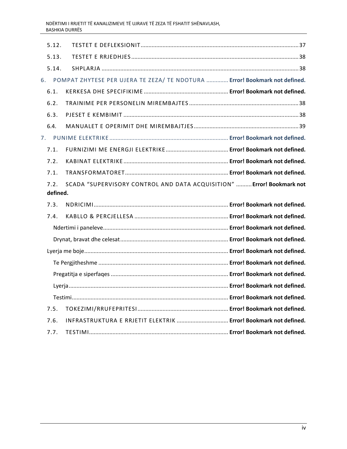|                                                                            | 5.12.    |  |
|----------------------------------------------------------------------------|----------|--|
|                                                                            | 5.13.    |  |
|                                                                            | 5.14.    |  |
| POMPAT ZHYTESE PER UJERA TE ZEZA/ TE NDOTURA  Error! Bookmark not defined. | 6.       |  |
|                                                                            | 6.1.     |  |
|                                                                            | 6.2.     |  |
|                                                                            | 6.3.     |  |
|                                                                            | 6.4.     |  |
|                                                                            | 7.       |  |
|                                                                            | 7.1.     |  |
|                                                                            | 7.2.     |  |
|                                                                            | 7.1.     |  |
| SCADA "SUPERVISORY CONTROL AND DATA ACQUISITION"  Error! Bookmark not      | 7.2.     |  |
|                                                                            | defined. |  |
|                                                                            | 7.3.     |  |
|                                                                            | 7.4.     |  |
|                                                                            |          |  |
|                                                                            |          |  |
|                                                                            |          |  |
|                                                                            |          |  |
|                                                                            |          |  |
|                                                                            |          |  |
|                                                                            |          |  |
|                                                                            | 7.5.     |  |
| INFRASTRUKTURA E RRJETIT ELEKTRIK  Error! Bookmark not defined.            | 7.6.     |  |
|                                                                            | 7.7.     |  |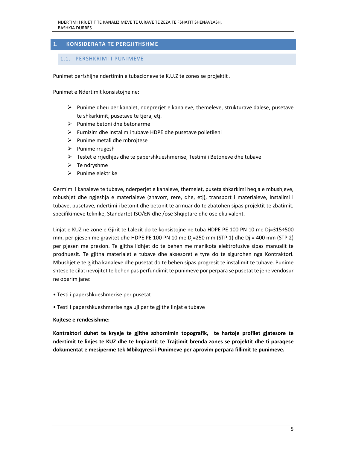# 1.  **KONSIDERATA TE PERGJITHSHME**

## 1.1. PERSHKRIMI I PUNIMEVE

Punimet perfshijne ndertimin e tubacioneve te K.U.Z te zones se projektit .

Punimet e Ndertimit konsistojne ne:

- $\triangleright$  Punime dheu per kanalet, ndeprerjet e kanaleve, themeleve, strukturave dalese, pusetave te shkarkimit, pusetave te tjera, etj.
- $\triangleright$  Punime betoni dhe betonarme
- $\triangleright$  Furnizim dhe Instalim i tubave HDPE dhe pusetave polietileni
- $\triangleright$  Punime metali dhe mbrojtese
- $\triangleright$  Punime rrugesh
- $\triangleright$  Testet e rrjedhjes dhe te papershkueshmerise, Testimi i Betoneve dhe tubave
- $\triangleright$  Te ndryshme
- $\triangleright$  Punime elektrike

Germimi i kanaleve te tubave, nderperjet e kanaleve, themelet, puseta shkarkimi heqja e mbushjeve, mbushjet dhe ngjeshja e materialeve (zhavorr, rere, dhe, etj), transport i materialeve, instalimi i tubave, pusetave, ndertimi i betonit dhe betonit te armuar do te zbatohen sipas projektit te zbatimit, specifikimeve teknike, Standartet ISO/EN dhe /ose Shqiptare dhe ose ekuivalent.

Linjat e KUZ ne zone e Gjirit te Lalezit do te konsistojne ne tuba HDPE PE 100 PN 10 me Dj=315÷500 mm, per pjesen me gravitet dhe HDPE PE 100 PN 10 me Dj=250 mm (STP.1) dhe Dj = 400 mm (STP 2) per pjesen me presion. Te gjitha lidhjet do te behen me manikota elektrofuzive sipas manualit te prodhuesit. Te gjitha materialet e tubave dhe aksesoret e tyre do te sigurohen nga Kontraktori. Mbushjet e te gjitha kanaleve dhe pusetat do te behen sipas progresit te instalimit te tubave. Punime shtese te cilat nevojitet te behen pas perfundimit te punimeve por perpara se pusetat te jene vendosur ne operim jane:

- Testi i papershkueshmerise per pusetat
- Testi i papershkueshmerise nga uji per te gjithe linjat e tubave

#### **Kujtese e rendesishme:**

**Kontraktori duhet te kryeje te gjithe azhornimin topografik, te hartoje profilet gjatesore te ndertimit te linjes te KUZ dhe te Impiantit te Trajtimit brenda zones se projektit dhe ti paraqese dokumentat e mesiperme tek Mbikqyresi i Punimeve per aprovim perpara fillimit te punimeve.**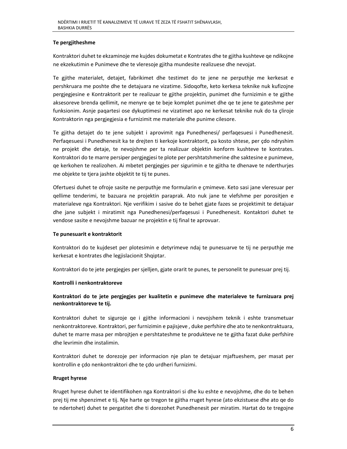## **Te pergjitheshme**

Kontraktori duhet te ekzaminoje me kujdes dokumetat e Kontrates dhe te gjitha kushteve qe ndikojne ne ekzekutimin e Punimeve dhe te vleresoje gjitha mundesite realizuese dhe nevojat.

Te gjithe materialet, detajet, fabrikimet dhe testimet do te jene ne perputhje me kerkesat e pershkruara me poshte dhe te detajuara ne vizatime. Sidoqofte, keto kerkesa teknike nuk kufizojne pergjegjesine e Kontraktorit per te realizuar te gjithe projektin, punimet dhe furnizimin e te gjithe aksesoreve brenda qellimit, ne menyre qe te beje komplet punimet dhe qe te jene te gateshme per funksionim. Asnje paqartesi ose dykuptimesi ne vizatimet apo ne kerkesat teknike nuk do ta çliroje Kontraktorin nga pergjegjesia e furnizimit me materiale dhe punime cilesore.

Te gjitha detajet do te jene subjekt i aprovimit nga Punedhenesi/ perfaqesuesi i Punedhenesit. Perfaqesuesi i Punedhenesit ka te drejten ti kerkoje kontraktorit, pa kosto shtese, per çdo ndryshim ne projekt dhe detaje, te nevojshme per ta realizuar objektin konform kushteve te kontrates. Kontraktori do te marre persiper pergjegjesi te plote per pershtatshmerine dhe saktesine e punimeve, qe kerkohen te realizohen. Ai mbetet pergjegjes per sigurimin e te gjitha te dhenave te nderthurjes me objekte te tjera jashte objektit te tij te punes.

Ofertuesi duhet te ofroje sasite ne perputhje me formularin e çmimeve. Keto sasi jane vleresuar per qellime tenderimi, te bazuara ne projektin paraprak. Ato nuk jane te vlefshme per porositjen e materialeve nga Kontraktori. Nje verifikim i sasive do te behet gjate fazes se projektimit te detajuar dhe jane subjekt i miratimit nga Punedhenesi/perfaqesusi i Punedhenesit. Kontaktori duhet te vendose sasite e nevojshme bazuar ne projektin e tij final te aprovuar.

#### **Te punesuarit e kontraktorit**

Kontraktori do te kujdeset per plotesimin e detyrimeve ndaj te punesuarve te tij ne perputhje me kerkesat e kontrates dhe legjislacionit Shqiptar.

Kontraktori do te jete pergjegjes per sjelljen, gjate orarit te punes, te personelit te punesuar prej tij.

#### **Kontrolli i nenkontraktoreve**

# **Kontraktori do te jete pergjegjes per kualitetin e punimeve dhe materialeve te furnizuara prej nenkontraktoreve te tij.**

Kontraktori duhet te siguroje qe i gjithe informacioni i nevojshem teknik i eshte transmetuar nenkontraktoreve. Kontraktori, per furnizimin e pajisjeve , duke perfshire dhe ato te nenkontraktuara, duhet te marre masa per mbrojtjen e pershtateshme te produkteve ne te gjitha fazat duke perfshire dhe levrimin dhe instalimin.

Kontraktori duhet te dorezoje per informacion nje plan te detajuar mjaftueshem, per masat per kontrollin e çdo nenkontraktori dhe te çdo urdheri furnizimi.

#### **Rruget hyrese**

Rruget hyrese duhet te identifikohen nga Kontraktori si dhe ku eshte e nevojshme, dhe do te behen prej tij me shpenzimet e tij. Nje harte qe tregon te gjitha rruget hyrese (ato ekzistuese dhe ato qe do te ndertohet) duhet te pergatitet dhe ti dorezohet Punedhenesit per miratim. Hartat do te tregojne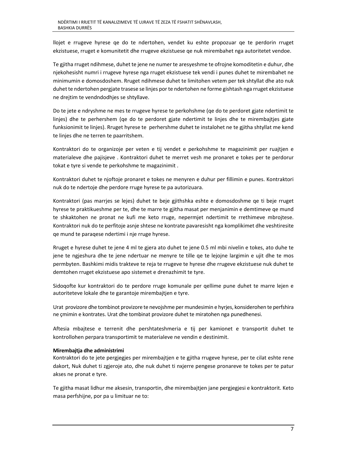llojet e rrugeve hyrese qe do te ndertohen, vendet ku eshte propozuar qe te perdorin rruget ekzistuese, rruget e komunitetit dhe rrugeve ekzistuese qe nuk mirembahet nga autoritetet vendoe.

Te gjitha rruget ndihmese, duhet te jene ne numer te aresyeshme te ofrojne komoditetin e duhur, dhe njekohesisht numri i rrugeve hyrese nga rruget ekzistuese tek vendi i punes duhet te mirembahet ne minimumin e domosdoshem. Rruget ndihmese duhet te limitohen vetem per tek shtyllat dhe ato nuk duhet te ndertohen pergjate trasese se linjes por te ndertohen ne forme gishtash nga rruget ekzistuese ne drejtim te vendndodhjes se shtyllave.

Do te jete e ndryshme ne mes te rrugeve hyrese te perkohshme (qe do te perdoret gjate ndertimit te linjes) dhe te perhershem (qe do te perdoret gjate ndertimit te linjes dhe te mirembajtjes gjate funksionimit te linjes). Rruget hyrese te perhershme duhet te instalohet ne te gjitha shtyllat me kend te linjes dhe ne terren te paarritshem.

Kontraktori do te organizoje per veten e tij vendet e perkohshme te magazinimit per ruajtjen e materialeve dhe pajisjeve . Kontraktori duhet te merret vesh me pronaret e tokes per te perdorur tokat e tyre si vende te perkohshme te magazinimit .

Kontraktori duhet te njoftoje pronaret e tokes ne menyren e duhur per fillimin e punes. Kontraktori nuk do te ndertoje dhe perdore rruge hyrese te pa autorizuara.

Kontraktori (pas marrjes se lejes) duhet te beje gjithshka eshte e domosdoshme qe ti beje rruget hyrese te praktikueshme per te, dhe te marre te gjitha masat per menjanimin e demtimeve qe mund te shkaktohen ne pronat ne kufi me keto rruge, nepermjet ndertimit te rrethimeve mbrojtese. Kontraktori nuk do te perfitoje asnje shtese ne kontrate pavaresisht nga komplikimet dhe veshtiresite qe mund te paraqese ndertimi i nje rruge hyrese.

Rruget e hyrese duhet te jene 4 ml te gjera ato duhet te jene 0.5 ml mbi nivelin e tokes, ato duhe te jene te ngjeshura dhe te jene ndertuar ne menyre te tille qe te lejojne largimin e ujit dhe te mos permbyten. Bashkimi midis trakteve te reja te rrugeve te hyrese dhe rrugeve ekzistuese nuk duhet te demtohen rruget ekzistuese apo sistemet e drenazhimit te tyre.

Sidoqofte kur kontraktori do te perdore rruge komunale per qellime pune duhet te marre lejen e autoriteteve lokale dhe te garantoje mirembajtjen e tyre.

Urat provizore dhe tombinot provizore te nevojshme per mundesimin e hyrjes, konsiderohen te perfshira ne çmimin e kontrates. Urat dhe tombinat provizore duhet te miratohen nga punedhenesi.

Aftesia mbajtese e terrenit dhe pershtateshmeria e tij per kamionet e transportit duhet te kontrollohen perpara transportimit te materialeve ne vendin e destinimit.

## **Mirembajtja dhe administrimi**

Kontraktori do te jete pergjegjes per mirembajtjen e te gjitha rrugeve hyrese, per te cilat eshte rene dakort, Nuk duhet ti zgjeroje ato, dhe nuk duhet ti nxjerre pengese pronareve te tokes per te patur akses ne pronat e tyre.

Te gjitha masat lidhur me aksesin, transportin, dhe mirembajtjen jane pergjegjesi e kontraktorit. Keto masa perfshijne, por pa u limituar ne to: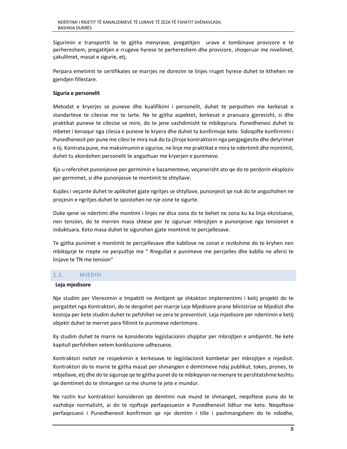Sigurimin e transportit te te gjitha menyrave, pregatitjen urave e tombinave provizore e te perhereshem, pregatitjen e rrugeve hyrese te perhereshem dhe provizore, shoqeruar me nivelimet, çakullimet, masat e sigurie, etj.

Perpara emetimit te certifikates se marrjes ne dorezim te linjes rruget hyrese duhet te kthehen ne gjendjen fillestare.

## **Siguria e personelit**

Metodat e kryerjes se puneve dhe kualifikimi i personelit, duhet te perputhen me kerkesat e standarteve te cilesise me te larte. Ne te gjitha aspektet, kerkesat e pranuara gjeresisht, si dhe praktikat puneve te cilesise se mire, do te jene vazhdimisht te mbikqyrura. Punedhenesi duhet te mbetet i kenaqur nga cilesia e puneve te kryera dhe duhet ta konfirmoje kete. Sidoqofte konfirmimi i Punedhenesit per pune me cilesi te mira nuk do ta çliroje kontraktorin nga pergjegjesite dhe detyrimet e tij. Kontrata pune, me maksimumin e sigurise, ne linje me praktikat e mira te ndertimit dhe montimit, duhet tu akordohen personelit te angazhuar me kryerjen e punimeve.

Kjo u referohet punonjesve per germimin e bazamenteve, veçanerisht ato qe do te perdorin eksploziv per germimet, si dhe punonjesve te montimit te shtyllave.

Kujdes i veçante duhet te aplikohet gjate ngritjes se shtyllave, punonjesit qe nuk do te angazhohen ne proçesin e ngritjes duhet te spostohen ne nje zone te sigurte.

Duke qene se ndertimi dhe montimi i linjes ne disa zona do te behet ne zona ku ka linja ekzistuese, nen tension, do te merren masa shtese per te siguruar mbrojtjen e punonjesve nga tensionet e induktuara. Keto masa duhet te sigurohen gjate montimit te percjellesave.

Te gjitha punimet e montimit te percjellesave dhe kabllove ne zonat e rezikshme do te kryhen nen mbikqyrje te rrepte ne perputhje me " Rregullat e punimeve me percjelles dhe kabllo ne afersi te linjave te TN me tension"

## 1.1. MJEDISI

#### **Leja mjedisore**

Nje studim per Vleresimin e Impaktit ne Ambjent qe shkakton implementimi i ketij projekti do te pergatitet nga Kontraktori, do te dergohet per marrje Leje Mjedisore prane Ministrise se Mjedisit dhe kostoja per kete studim duhet te pefshihet ne zera te preventivit. Leja mjedisore per ndertimin e ketij objekti duhet te merret para fillimit te punimeve ndertimore.

Ky studim duhet te marre ne konsiderate legjislacionin shqiptar per mbrojtjen e ambjentit. Ne kete kapitull perfshihen vetem konkluzione udhezuese.

Kontraktori nxitet ne respekimin e kerkesave te legjislacionit kombetar per mbrojtjen e mjedisit. Kontraktori do te marre te gjitha masat per shmangien e demtimeve ndaj publikut, tokes, prones, te mbjellave, etj dhe do te siguroje qe te gjitha punet do te mbikqyren ne menyre te pershtatshme keshtu qe demtimet do te shmangen sa me shume te jete e mundur.

Ne rastin kur kontraktori konsideron qe demtimi nuk mund te shmanget, neqoftese puna do te vazhdoje normalisht, ai do te njoftoje perfaqesuesin e Punedhenesit lidhur me kete. Neqoftese perfaqesuesi i Punedhenesit konfirmon qe nje demtim i tille i pashmangshem do te ndodhe,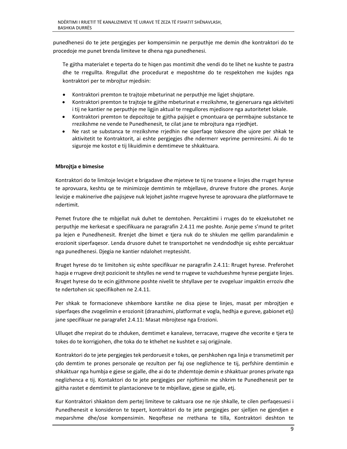punedhenesi do te jete pergjegjes per kompensimin ne perputhje me demin dhe kontraktori do te procedoje me punet brenda limiteve te dhena nga punedhenesi.

Te gjitha materialet e teperta do te hiqen pas montimit dhe vendi do te lihet ne kushte te pastra dhe te rregullta. Rregullat dhe procedurat e meposhtme do te respektohen me kujdes nga kontraktori per te mbrojtur mjedisin:

- Kontraktori premton te trajtoje mbeturinat ne perputhje me ligjet shqiptare.
- Kontraktori premton te trajtoje te gjithe mbeturinat e rrezikshme, te gjeneruara nga aktiviteti i tij ne kantier ne perputhje me ligjin aktual te rregullores mjedisore nga autoritetet lokale.
- Kontraktori premton te depozitoje te gjitha pajisjet e çmontuara qe permbajne substance te rrezikshme ne vende te Punedhenesit, te cilat jane te mbrojtura nga rrjedhjet.
- Ne rast se substanca te rrezikshme rrjedhin ne siperfaqe tokesore dhe ujore per shkak te aktivitetit te Kontraktorit, ai eshte pergjegjes dhe ndermerr veprime permiresimi. Ai do te siguroje me kostot e tij likuidimin e demtimeve te shkaktuara.

## **Mbrojtja e bimesise**

Kontraktori do te limitoje levizjet e brigadave dhe mjeteve te tij ne trasene e linjes dhe rruget hyrese te aprovuara, keshtu qe te minimizoje demtimin te mbjellave, drureve frutore dhe prones. Asnje levizje e makinerive dhe pajisjeve nuk lejohet jashte rrugeve hyrese te aprovuara dhe platformave te ndertimit.

Pemet frutore dhe te mbjellat nuk duhet te demtohen. Percaktimi i rruges do te ekzekutohet ne perputhje me kerkesat e specifikuara ne paragrafin 2.4.11 me poshte. Asnje peme s'mund te pritet pa lejen e Punedhenesit. Rrenjet dhe bimet e tjera nuk do te shkulen me qellim parandalimin e erozionit siperfaqesor. Lenda drusore duhet te transportohet ne vendndodhje siç eshte percaktuar nga punedhenesi. Djegia ne kantier ndalohet rreptesisht.

Rruget hyrese do te limitohen siç eshte specifikuar ne paragrafin 2.4.11: Rruget hyrese. Preferohet hapja e rrugeve drejt pozicionit te shtylles ne vend te rrugeve te vazhdueshme hyrese pergjate linjes. Rruget hyrese do te ecin gjithmone poshte nivelit te shtyllave per te zvogeluar impaktin erroziv dhe te ndertohen sic specifikohen ne 2.4.11.

Per shkak te formacioneve shkembore karstike ne disa pjese te linjes, masat per mbrojtjen e siperfaqes dhe zvogelimin e erozionit (dranazhimi, platformat e vogla, hedhja e gureve, gabionet etj) jane specifikuar ne paragrafet 2.4.11: Masat mbrojtese nga Erozioni.

Ulluqet dhe rrepirat do te zhduken, demtimet e kanaleve, terracave, rrugeve dhe vecorite e tjera te tokes do te korrigjohen, dhe toka do te kthehet ne kushtet e saj origjinale.

Kontraktori do te jete pergjegjes tek perdoruesit e tokes, qe pershkohen nga linja e transmetimit per çdo demtim te prones personale qe rezulton per faj ose neglizhence te tij, perfshire demtimin e shkaktuar nga humbja e gjese se gjalle, dhe ai do te zhdemtoje demin e shkaktuar prones private nga neglizhenca e tij. Kontaktori do te jete pergjegjes per njoftimin me shkrim te Punedhenesit per te gjitha rastet e demtimit te plantacioneve te te mbjellave, gjese se gjalle, etj.

Kur Kontraktori shkakton dem pertej limiteve te caktuara ose ne nje shkalle, te cilen perfaqesuesi i Punedhenesit e konsideron te tepert, kontraktori do te jete pergjegjes per sjelljen ne gjendjen e meparshme dhe/ose kompensimin. Neqoftese ne rrethana te tilla, Kontraktori deshton te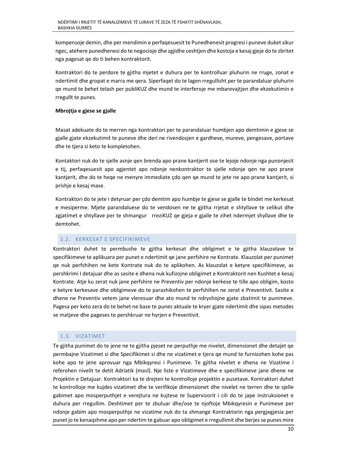kompensoje demin, dhe per mendimin e perfaqesuesit te Punedhenesit progresi i puneve duket sikur ngec, atehere punedhenesi do te negocioje dhe zgjidhe ceshtjen dhe kostoja e kesaj gjeje do te zbritet nga pagesat qe do ti behen kontraktorit.

Kontraktori do te perdore te gjitha mjetet e duhura per te kontrolluar pluhurin ne rruge, zonat e ndertimit dhe gropat e marra me qera. Siperfaqet do te lagen rregullisht per te parandaluar pluhurin qe mund te behet telash per publiKUZ dhe mund te interferoje me mbarevajtjen dhe ekzekutimin e rregullt te punes.

## **Mbrojtja e gjese se gjalle**

Masat adekuate do te merren nga kontraktori per te parandaluar humbjen apo demtimin e gjese se gjalle gjate ekzekutimit te puneve dhe deri ne rivendosjen e gardheve, mureve, pengesave, portave dhe te tjera si keto te kompletohen.

Kontaktori nuk do te sjelle asnje qen brenda apo prane kantjerit ose te lejoje ndonje nga punonjesit e tij, perfaqesuesit apo agjentet apo ndonje nenkontraktor te sjelle ndonje qen ne apo prane kantjerit, dhe do te heqe ne menyre immediate çdo qen qe mund te jete ne apo prane kantjerit, si prishje e kesaj mase.

Kontraktori do te jete i detyruar per çdo demtim apo humbje te gjese se gjalle te bindet me kerkesat e mesiperme. Mjete parandaluese do te vendosen ne te gjitha rrjetat e shtyllave te celikut dhe zgjatimet e shtyllave per te shmangur rreziKUZ qe gjeja e gjalle te zihet ndermjet shyllave dhe te demtohet.

## 1.2. KERKESAT E SPECIFIKIMEVE

Kontraktori duhet te permbushe te gjitha kerkesat dhe obligimet e te gjitha klauzolave te specifikimeve te aplikuara per punet e ndertimit qe jane perfshire ne Kontrate. Klauzolat per punimet qe nuk perfshihen ne kete Kontrate nuk do te aplikohen. As klauzolat e ketyre specifikimeve, as pershkrimi I detajuar dhe as sasite e dhena nuk kufizojne obligimet e Kontraktorit nen Kushtet e kesaj Kontrate. Atje ku zerat nuk jane perfshire ne Preventiv per ndonje kerkese te tille apo obligim, kosto e ketyre kerkesave dhe obligimeve do te parashikohen te perfshihen ne zerat e Preventivit. Sasite e dhene ne Preventiv vetem jane vleresuar dhe ato mund te ndryshojne gjate zbatimit te punimeve. Pagesa per keto zera do te behet ne baze te punes aktuale te kryer gjate ndertimit dhe sipas metodes se matjeve dhe pageses te pershkruar ne hyrjen e Preventivit.

#### 1.3. VIZATIMET

Te gjitha punimet do te jene ne te gjitha pjeset ne perputhje me nivelet, dimensionet dhe detajet qe permbajne Vizatimet si dhe Specifikimet si dhe ne vizatimet e tjera qe mund te furnizohen kohe pas kohe apo te jene aprovuar nga Mbikqyresi i Punimeve. Te gjitha nivelet e dhena ne Vizatime i referohen nivelit te detit Adriatik (masl). Nje liste e Vizatimeve dhe e specifikimeve jane dhene ne Projektin e Detajuar. Kontraktori ka te drejten te kontrolloje projektin e pusetave. Kontraktori duhet te kontrolloje me kujdes vizatimet dhe te verifikoje dimensionet dhe nivelet ne terren dhe te sjelle gabimet apo mosperputhjet e verejtura ne kujtese te Supervizorit i cili do te jape instruksionet e duhura per rregullim. Deshtimet per te zbuluar dhe/ose te njoftoje Mbikqyresin e Punimeve per ndonje gabim apo mosperputhje ne vizatime nuk do ta shmange Kontraktorin nga pergjegjesia per punet jo te kenaqshme apo per ndertim te gabuar apo obligimet e rregullimit dhe berjes se punes mire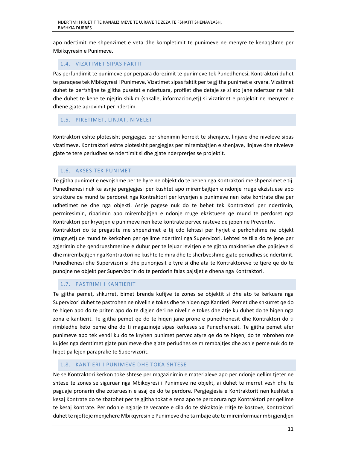apo ndertimit me shpenzimet e veta dhe kompletimit te punimeve ne menyre te kenaqshme per Mbikqyresin e Punimeve.

## 1.4. VIZATIMET SIPAS FAKTIT

Pas perfundimit te punimeve por perpara dorezimit te punimeve tek Punedhenesi, Kontraktori duhet te paraqese tek Mbikqyresi i Punimeve, Vizatimet sipas faktit per te gjitha punimet e kryera. Vizatimet duhet te perfshijne te gjitha pusetat e ndertuara, profilet dhe detaje se si ato jane ndertuar ne fakt dhe duhet te kene te njejtin shikim (shkalle, informacion,etj) si vizatimet e projektit ne menyren e dhene gjate aprovimit per ndertim.

# 1.5. PIKETIMET, LINJAT, NIVELET

Kontraktori eshte plotesisht pergjegjes per shenimin korrekt te shenjave, linjave dhe niveleve sipas vizatimeve. Kontraktori eshte plotesisht pergjegjes per mirembajtjen e shenjave, linjave dhe niveleve gjate te tere periudhes se ndertimit si dhe gjate nderprerjes se projektit.

## 1.6. AKSES TEK PUNIMET

Te gjitha punimet e nevojshme per te hyre ne objekt do te behen nga Kontraktori me shpenzimet e tij. Punedhenesi nuk ka asnje pergjegjesi per kushtet apo mirembajtjen e ndonje rruge ekzistuese apo strukture qe mund te perdoret nga Kontraktori per kryerjen e punimeve nen kete kontrate dhe per udhetimet ne dhe nga objekti. Asnje pagese nuk do te behet tek Kontraktori per ndertimin, permiresimin, riparimin apo mirembajtjen e ndonje rruge ekzistuese qe mund te perdoret nga Kontraktori per kryerjen e punimeve nen kete kontrate pervec rasteve qe jepen ne Preventiv.

Kontraktori do te pregatite me shpenzimet e tij cdo lehtesi per hyrjet e perkohshme ne objekt (rruge,etj) qe mund te kerkohen per qellime ndertimi nga Supervizori. Lehtesi te tilla do te jene per zgjerimin dhe qendrueshmerine e duhur per te lejuar levizjen e te gjitha makinerive dhe pajisjeve si dhe mirembajtjen nga Kontraktori ne kushte te mira dhe te sherbyeshme gjate periudhes se ndertimit. Punedhenesi dhe Supervizori si dhe punonjesit e tyre si dhe ata te Kontraktoreve te tjere qe do te punojne ne objekt per Supervizorin do te perdorin falas pajsijet e dhena nga Kontraktori.

## 1.7. PASTRIMI I KANTIERIT

Te gjitha pemet, shkurret, bimet brenda kufijve te zones se objektit si dhe ato te kerkuara nga Supervizori duhet te pastrohen ne nivelin e tokes dhe te hiqen nga Kantieri. Pemet dhe shkurret qe do te hiqen apo do te priten apo do te digjen deri ne nivelin e tokes dhe atje ku duhet do te hiqen nga zona e kantierit. Te gjitha pemet qe do te hiqen jane prone e punedhenesit dhe Kontraktori do ti rimbledhe keto peme dhe do ti magazinoje sipas kerkeses se Punedhenesit. Te gjitha pemet afer punimeve apo tek vendi ku do te kryhen punimet pervec atyre qe do te hiqen, do te mbrohen me kujdes nga demtimet gjate punimeve dhe gjate periudhes se mirembajtjes dhe asnje peme nuk do te hiqet pa lejen paraprake te Supervizorit.

## 1.8. KANTIERI I PUNIMEVE DHE TOKA SHTESE

Ne se Kontraktori kerkon toke shtese per magazinimin e materialeve apo per ndonje qellim tjeter ne shtese te zones se siguruar nga Mbikqyresi i Punimeve ne objekt, ai duhet te merret vesh dhe te paguaje pronarin dhe zoteruesin e asaj qe do te perdore. Pergjegjesia e Kontraktorit nen kushtet e kesaj Kontrate do te zbatohet per te gjitha tokat e zena apo te perdorura nga Kontraktori per qellime te kesaj kontrate. Per ndonje ngjarje te vecante e cila do te shkaktoje rritje te kostove, Kontraktori duhet te njoftoje menjehere Mbikqyresin e Punimeve dhe ta mbaje ate te mireinformuar mbi gjendjen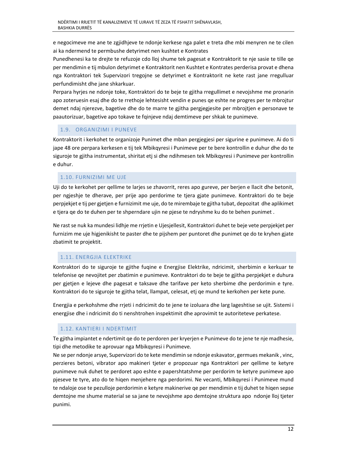e negocimeve me ane te zgjidhjeve te ndonje kerkese nga palet e treta dhe mbi menyren ne te cilen ai ka ndermend te permbushe detyrimet nen kushtet e Kontrates

Punedhenesi ka te drejte te refuzoje cdo lloj shume tek pagesat e Kontraktorit te nje sasie te tille qe per mendimin e tij mbulon detyrimet e Kontraktorit nen Kushtet e Kontrates perderisa provat e dhena nga Kontraktori tek Supervizori tregojne se detyrimet e Kontraktorit ne kete rast jane rregulluar perfundimisht dhe jane shkarkuar.

Perpara hyrjes ne ndonje toke, Kontraktori do te beje te gjitha rregullimet e nevojshme me pronarin apo zoteruesin esaj dhe do te rrethoje lehtesisht vendin e punes qe eshte ne progres per te mbrojtur demet ndaj njerezve, bagetive dhe do te marre te gjitha pergjegjesite per mbrojtjen e personave te paautorizuar, bagetive apo tokave te fqinjeve ndaj demtimeve per shkak te punimeve.

# 1.9. ORGANIZIMI I PUNEVE

Kontraktorit i kerkohet te organizoje Punimet dhe mban pergjegjesi per sigurine e punimeve. Ai do ti jape 48 ore perpara kerkesen e tij tek Mbikqyresi i Punimeve per te bere kontrollin e duhur dhe do te siguroje te gjitha instrumentat, shiritat etj si dhe ndihmesen tek Mbikqyresi i Punimeve per kontrollin e duhur.

## 1.10. FURNIZIMI ME UJE

Uji do te kerkohet per qellime te larjes se zhavorrit, reres apo gureve, per berjen e llacit dhe betonit, per ngjeshje te dherave, per prije apo perdorime te tjera gjate punimeve. Kontraktori do te beje perpjekjet e tij per gjetjen e furnizimit me uje, do te mirembaje te gjitha tubat, depozitat dhe aplikimet e tjera qe do te duhen per te shperndare ujin ne pjese te ndryshme ku do te behen punimet .

Ne rast se nuk ka mundesi lidhje me rrjetin e Ujesjellesit, Kontraktori duhet te beje vete perpjekjet per furnizim me uje higjenikisht te paster dhe te pijshem per puntoret dhe punimet qe do te kryhen gjate zbatimit te projektit.

# 1.11. ENERGJIA ELEKTRIKE

Kontraktori do te siguroje te gjithe fuqine e Energjise Elektrike, ndricimit, sherbimin e kerkuar te telefonise qe nevojitet per zbatimin e punimeve. Kontraktori do te beje te gjitha perpjekjet e duhura per gjetjen e lejeve dhe pagesat e taksave dhe tarifave per keto sherbime dhe perdorimin e tyre. Kontraktori do te siguroje te gjitha telat, llampat, celesat, etj qe mund te kerkohen per kete pune.

Energjia e perkohshme dhe rrjeti i ndricimit do te jene te izoluara dhe larg lageshtise se ujit. Sistemi i energjise dhe i ndricimit do ti nenshtrohen inspektimit dhe aprovimit te autoriteteve perkatese.

## 1.12. KANTIERI I NDERTIMIT

Te gjitha impiantet e ndertimit qe do te perdoren per kryerjen e Punimeve do te jene te nje madhesie, tipi dhe metodike te aprovuar nga Mbikqyresi i Punimeve.

Ne se per ndonje arsye, Supervizori do te kete mendimin se ndonje eskavator, germues mekanik , vinc, perzieres betoni, vibrator apo makineri tjeter e propozuar nga Kontraktori per qellime te ketyre punimeve nuk duhet te perdoret apo eshte e papershtatshme per perdorim te ketyre punimeve apo pjeseve te tyre, ato do te hiqen menjehere nga perdorimi. Ne vecanti, Mbikqyresi i Punimeve mund te ndaloje ose te pezulloje perdorimin e ketyre makinerive qe per mendimin e tij duhet te hiqen sepse demtojne me shume material se sa jane te nevojshme apo demtojne struktura apo ndonje lloj tjeter punimi.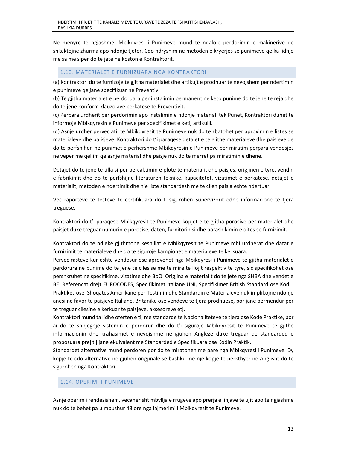Ne menyre te ngjashme, Mbikqyresi i Punimeve mund te ndaloje perdorimin e makinerive qe shkaktojne zhurma apo ndonje tjeter. Cdo ndryshim ne metoden e kryerjes se punimeve qe ka lidhje me sa me siper do te jete ne koston e Kontraktorit.

## 1.13. MATERIALET E FURNIZUARA NGA KONTRAKTORI

(a) Kontraktori do te furnizoje te gjitha materialet dhe artikujt e prodhuar te nevojshem per ndertimin e punimeve qe jane specifikuar ne Preventiv.

(b) Te gjitha materialet e perdoruara per instalimin permanent ne keto punime do te jene te reja dhe do te jene konform klauzolave perkatese te Preventivit.

(c) Perpara urdherit per perdorimin apo instalimin e ndonje materiali tek Punet, Kontraktori duhet te informoje Mbikqyresin e Punimeve per specifikimet e ketij artikulli.

(d) Asnje urdher pervec atij te Mbikqyresit te Punimeve nuk do te zbatohet per aprovimin e listes se materialeve dhe pajisjeve. Kontraktori do t'i paraqese detajet e te gjithe materialeve dhe paisjeve qe do te perfshihen ne punimet e perhershme Mbikqyresin e Punimeve per miratim perpara vendosjes ne veper me qellim qe asnje material dhe paisje nuk do te merret pa miratimin e dhene.

Detajet do te jene te tilla si per percaktimin e plote te materialit dhe paisjes, origjinen e tyre, vendin e fabrikimit dhe do te perfshijne literaturen teknike, kapacitetet, vizatimet e perkatese, detajet e materialit, metoden e ndertimit dhe nje liste standardesh me te cilen paisja eshte ndertuar.

Vec raporteve te testeve te certifikuara do ti sigurohen Supervizorit edhe informacione te tjera treguese.

Kontraktori do t'i paraqese Mbikqyresit te Punimeve kopjet e te gjitha porosive per materialet dhe paisjet duke treguar numurin e porosise, daten, furnitorin si dhe parashikimin e dites se furnizimit.

Kontraktori do te ndjeke gjithmone keshillat e Mbikqyresit te Punimeve mbi urdherat dhe datat e furnizimit te materialeve dhe do te siguroje kampionet e materialeve te kerkuara.

Pervec rasteve kur eshte vendosur ose aprovohet nga Mbikqyresi i Punimeve te gjitha materialet e perdorura ne punime do te jene te cilesise me te mire te llojit respektiv te tyre, sic specifikohet ose pershkruhet ne specifikime, vizatime dhe BoQ. Origjina e materialit do te jete nga SHBA dhe vendet e BE. Referencat drejt EUROCODES, Specifikimet Italiane UNI, Specifikimet British Standard ose Kodi i Praktikes ose Shoqates Amerikane per Testimin dhe Standardin e Materialeve nuk implikojne ndonje anesi ne favor te paisjeve Italiane, Britanike ose vendeve te tjera prodhuese, por jane permendur per te treguar cilesine e kerkuar te paisjeve, aksesoreve etj.

Kontraktori mund ta lidhe oferten e tij me standarde te Nacionaliteteve te tjera ose Kode Praktike, por ai do te shpjegoje sistemin e perdorur dhe do t'i siguroje Mbikqyresit te Punimeve te gjithe informacionin dhe krahasimet e nevojshme ne gjuhen Angleze duke treguar qe standarded e propozuara prej tij jane ekuivalent me Standarded e Specifikuara ose Kodin Praktik.

Standardet alternative mund perdoren por do te miratohen me pare nga Mbikqyresi i Punimeve. Dy kopje te cdo alternative ne gjuhen origjinale se bashku me nje kopje te perkthyer ne Anglisht do te sigurohen nga Kontraktori.

## 1.14. OPERIMI I PUNIMEVE

Asnje operim i rendesishem, vecanerisht mbyllja e rrugeve apo prerja e linjave te ujit apo te ngjashme nuk do te behet pa u mbushur 48 ore nga lajmerimi i Mbikqyresit te Punimeve.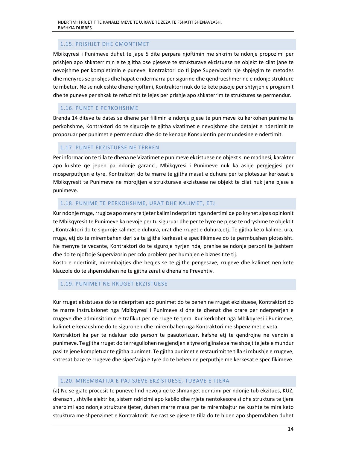# 1.15. PRISHJET DHE CMONTIMET

Mbikqyresi i Punimeve duhet te jape 5 dite perpara njoftimin me shkrim te ndonje propozimi per prishjen apo shkaterrimin e te gjitha ose pjeseve te strukturave ekzistuese ne objekt te cilat jane te nevojshme per kompletimin e puneve. Kontraktori do ti jape Supervizorit nje shpjegim te metodes dhe menyres se prishjes dhe hapat e ndermarra per sigurine dhe qendrueshmerine e ndonje strukture te mbetur. Ne se nuk eshte dhene njoftimi, Kontraktori nuk do te kete pasoje per shtyrjen e programit dhe te puneve per shkak te refuzimit te lejes per prishje apo shkaterrim te struktures se permendur.

# 1.16. PUNET E PERKOHSHME

Brenda 14 diteve te dates se dhene per fillimin e ndonje pjese te punimeve ku kerkohen punime te perkohshme, Kontraktori do te siguroje te gjitha vizatimet e nevojshme dhe detajet e ndertimit te propozuar per punimet e permendura dhe do te kenaqe Konsulentin per mundesine e ndertimit.

## 1.17. PUNET EKZISTUESE NE TERREN

Per informacion te tilla te dhena ne Vizatimet e punimeve ekzistuese ne objekt si ne madhesi, karakter apo kushte qe jepen pa ndonje garanci, Mbikqyresi i Punimeve nuk ka asnje pergjegjesi per mosperputhjen e tyre. Kontraktori do te marre te gjitha masat e duhura per te plotesuar kerkesat e Mbikqyresit te Punimeve ne mbrojtjen e strukturave ekzistuese ne objekt te cilat nuk jane pjese e punimeve.

## 1.18. PUNIME TE PERKOHSHME, URAT DHE KALIMET, ETJ.

Kur ndonje rruge, rrugice apo menyre tjeter kalimi nderpritet nga ndertimi qe po kryhet sipas opinionit te Mbikqyresit te Punimeve ka nevoje per tu siguruar dhe per te hyre ne pjese te ndryshme te objektit , Kontraktori do te siguroje kalimet e duhura, urat dhe rruget e duhura,etj. Te gjitha keto kalime, ura, rruge, etj do te mirembahen deri sa te gjitha kerkesat e specifikimeve do te permbushen plotesisht. Ne menyre te vecante, Kontraktori do te siguroje hyrjen ndaj pranise se ndonje personi te jashtem dhe do te njoftoje Supervizorin per cdo problem per humbjen e biznesit te tij.

Kosto e ndertimit, mirembajtjes dhe heqjes se te gjithe pengesave, rrugeve dhe kalimet nen kete klauzole do te shperndahen ne te gjitha zerat e dhena ne Preventiv.

#### 1.19. PUNIMET NE RRUGET EKZISTUESE

Kur rruget ekzistuese do te nderpriten apo punimet do te behen ne rruget ekzistuese, Kontraktori do te marre instruksionet nga Mbikqyresi i Punimeve si dhe te dhenat dhe orare per nderprerjen e rrugeve dhe adminsitrimin e trafikut per ne rruge te tjera. Kur kerkohet nga Mbikqyresi i Punimeve, kalimet e kenaqshme do te sigurohen dhe mirembahen nga Kontraktori me shpenzimet e veta. Kontraktori ka per te ndaluar cdo person te paautorizuar, kafshe etj te qendrojne ne vendin e punimeve. Te gjitha rruget do te rregullohen ne gjendjen e tyre origjinale sa me shpejt te jete e mundur pasi te jene kompletuar te gjitha punimet. Te gjitha punimet e restaurimit te tilla si mbushje e rrugeve, shtresat baze te rrugeve dhe siperfaqja e tyre do te behen ne perputhje me kerkesat e specifikimeve.

#### 1.20. MIREMBAJTJA E PAJISJEVE EKZISTUESE, TUBAVE E TJERA

(a) Ne se gjate procesit te puneve lind nevoja qe te shmanget demtimi per ndonje tub ekzitues, KUZ, drenazhi, shtylle elektrike, sistem ndricimi apo kabllo dhe rrjete nentokesore si dhe struktura te tjera sherbimi apo ndonje strukture tjeter, duhen marre masa per te mirembajtur ne kushte te mira keto struktura me shpenzimet e Kontraktorit. Ne rast se pjese te tilla do te hiqen apo shperndahen duhet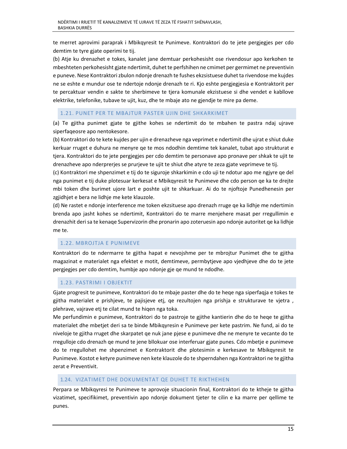te merret aprovimi paraprak i Mbikqyresit te Punimeve. Kontraktori do te jete pergjegjes per cdo demtim te tyre gjate operimi te tij.

(b) Atje ku drenazhet e tokes, kanalet jane demtuar perkohesisht ose rivendosur apo kerkohen te mbeshteten perkohesisht gjate ndertimit, duhet te perfshihen ne cmimet per germimet ne preventivin e puneve. Nese Kontraktori zbulon ndonje drenazh te fushes ekzsistuese duhet ta rivendose me kujdes ne se eshte e mundur ose te ndertoje ndonje drenazh te ri. Kjo eshte pergjegjesia e Kontraktorit per te percaktuar vendin e sakte te sherbimeve te tjera komunale ekzistuese si dhe vendet e kabllove elektrike, telefonike, tubave te ujit, kuz, dhe te mbaje ato ne gjendje te mire pa deme.

## 1.21. PUNET PER TE MBAJTUR PASTER UJIN DHE SHKARKIMET

(a) Te gjitha punimet gjate te gjithe kohes se ndertimit do te mbahen te pastra ndaj ujrave siperfaqeosre apo nentokesore.

(b) Kontraktori do te kete kujdes per ujin e drenazheve nga veprimet e ndertimit dhe ujrat e shiut duke kerkuar rruget e duhura ne menyre qe te mos ndodhin demtime tek kanalet, tubat apo strukturat e tjera. Kontraktori do te jete pergjegjes per cdo demtim te personave apo pronave per shkak te ujit te drenazheve apo nderprerjes se prurjeve te ujit te shiut dhe atyre te zeza gjate veprimeve te tij.

(c) Kontraktori me shpenzimet e tij do te siguroje shkarkimin e cdo uji te ndotur apo me ngjyre qe del nga punimet e tij duke plotesuar kerkesat e Mbikqyresit te Punimeve dhe cdo person qe ka te drejte mbi token dhe burimet ujore lart e poshte ujit te shkarkuar. Ai do te njoftoje Punedhenesin per zgjidhjet e bera ne lidhje me kete klauzole.

(d) Ne rastet e ndonje interference me token ekzsituese apo drenazh rruge qe ka lidhje me ndertimin brenda apo jasht kohes se ndertimit, Kontraktori do te marre menjehere masat per rregullimin e drenazhit deri sa te kenaqe Supervizorin dhe pronarin apo zoteruesin apo ndonje autoritet qe ka lidhje me te.

## 1.22. MBROJTJA E PUNIMEVE

Kontraktori do te ndermarre te gjitha hapat e nevojshme per te mbrojtur Punimet dhe te gjitha magazinat e materialet nga efektet e motit, demtimeve, permbytjeve apo vjedhjeve dhe do te jete pergjegjes per cdo demtim, humbje apo ndonje gje qe mund te ndodhe.

## 1.23. PASTRIMI I OBJEKTIT

Gjate progresit te punimeve, Kontraktori do te mbaje paster dhe do te heqe nga siperfaqja e tokes te gjitha materialet e prishjeve, te pajisjeve etj, qe rezultojen nga prishja e strukturave te vjetra , plehrave, vajrave etj te cilat mund te hiqen nga toka.

Me perfundimin e punimeve, Kontraktori do te pastroje te gjithe kantierin dhe do te heqe te gjitha materialet dhe mbetjet deri sa te binde Mbikqyresin e Punimeve per kete pastrim. Ne fund, ai do te niveloje te gjitha rruget dhe skarpatet qe nuk jane pjese e punimeve dhe ne menyre te vecante do te rregulloje cdo drenazh qe mund te jene bllokuar ose interferuar gjate punes. Cdo mbetje e punimeve do te rregullohet me shpenzimet e Kontraktorit dhe plotesimin e kerkesave te Mbikqyresit te Punimeve. Kostot e ketyre punimeve nen kete klauzole do te shperndahen nga Kontraktori ne te gjitha zerat e Preventivit.

#### 1.24. VIZATIMET DHE DOKUMENTAT QE DUHET TE RIKTHEHEN

Perpara se Mbikqyresi te Punimeve te aprovoje situacionin final, Kontraktori do te ktheje te gjitha vizatimet, specifikimet, preventivin apo ndonje dokument tjeter te cilin e ka marre per qellime te punes.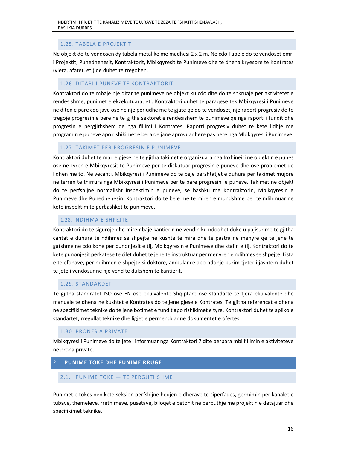# 1.25. TABELA E PROJEKTIT

Ne objekt do te vendosen dy tabela metalike me madhesi 2 x 2 m. Ne cdo Tabele do te vendoset emri i Projektit, Punedhenesit, Kontraktorit, Mbikqyresit te Punimeve dhe te dhena kryesore te Kontrates (vlera, afatet, etj) qe duhet te tregohen.

## 1.26. DITARI I PUNEVE TE KONTRAKTORIT

Kontraktori do te mbaje nje ditar te punimeve ne objekt ku cdo dite do te shkruaje per aktivitetet e rendesishme, punimet e ekzekutuara, etj. Kontraktori duhet te paraqese tek Mbikqyresi i Punimeve ne diten e pare cdo jave ose ne nje periudhe me te gjate qe do te vendoset, nje raport progresiv do te tregoje progresin e bere ne te gjitha sektoret e rendesishem te punimeve qe nga raporti i fundit dhe progresin e pergjithshem qe nga fillimi i Kontrates. Raporti progresiv duhet te kete lidhje me programin e puneve apo rishikimet e bera qe jane aprovuar here pas here nga Mbikqyresi i Punimeve.

## 1.27. TAKIMET PER PROGRESIN E PUNIMEVE

Kontraktori duhet te marre pjese ne te gjitha takimet e organizuara nga Inxhineiri ne objektin e punes ose ne zyren e Mbikqyresit te Punimeve per te diskutuar progresin e puneve dhe ose problemet qe lidhen me to. Ne vecanti, Mbikqyresi i Punimeve do te beje pershtatjet e duhura per takimet mujore ne terren te thirrura nga Mbikqyresi i Punimeve per te pare progresin e puneve. Takimet ne objekt do te perfshijne normalisht inspektimin e puneve, se bashku me Kontraktorin, Mbikqyresin e Punimeve dhe Punedhenesin. Kontraktori do te beje me te miren e mundshme per te ndihmuar ne kete inspektim te perbashket te punimeve.

## 1.28. NDIHMA E SHPEJTE

Kontraktori do te siguroje dhe mirembaje kantierin ne vendin ku ndodhet duke u pajisur me te gjitha cantat e duhura te ndihmes se shpejte ne kushte te mira dhe te pastra ne menyre qe te jene te gatshme ne cdo kohe per punonjesit e tij, Mbikqyresin e Punimeve dhe stafin e tij. Kontraktori do te kete punonjesit perkatese te cilet duhet te jene te instruktuar per menyren e ndihmes se shpejte. Lista e telefonave, per ndihmen e shpejte si doktore, ambulance apo ndonje burim tjeter i jashtem duhet te jete i vendosur ne nje vend te dukshem te kantierit.

## 1.29. STANDARDET

Te gjitha standratet ISO ose EN ose ekuivalente Shqiptare ose standarte te tjera ekuivalente dhe manuale te dhena ne kushtet e Kontrates do te jene pjese e Kontrates. Te gjitha referencat e dhena ne specifikimet teknike do te jene botimet e fundit apo rishikimet e tyre. Kontraktori duhet te aplikoje standartet, rregullat teknike dhe ligjet e permenduar ne dokumentet e ofertes.

#### 1.30. PRONESIA PRIVATE

Mbikqyresi i Punimeve do te jete i informuar nga Kontraktori 7 dite perpara mbi fillimin e aktiviteteve ne prona private.

## 2. **PUNIME TOKE DHE PUNIME RRUGE**

## 2.1. PUNIME TOKE — TE PERGJITHSHME

Punimet e tokes nen kete seksion perfshijne heqjen e dherave te siperfaqes, germimin per kanalet e tubave, themeleve, rrethimeve, pusetave, blloqet e betonit ne perputhje me projektin e detajuar dhe specifikimet teknike.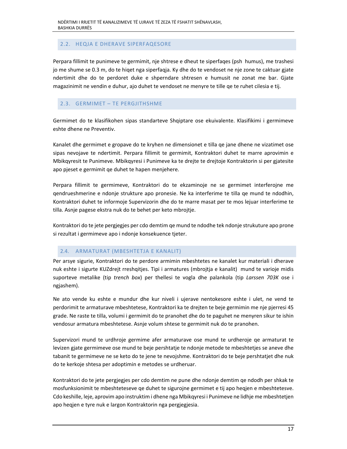## 2.2. HEQJA E DHERAVE SIPERFAQESORE

Perpara fillimit te punimeve te germimit, nje shtrese e dheut te siperfaqes (psh humus), me trashesi jo me shume se 0.3 m, do te hiqet nga siperfaqja. Ky dhe do te vendoset ne nje zone te caktuar gjate ndertimit dhe do te perdoret duke e shperndare shtresen e humusit ne zonat me bar. Gjate magazinimit ne vendin e duhur, ajo duhet te vendoset ne menyre te tille qe te ruhet cilesia e tij.

#### 2.3. GERMIMET – TE PERGJITHSHME

Germimet do te klasifikohen sipas standarteve Shqiptare ose ekuivalente. Klasifikimi i germimeve eshte dhene ne Preventiv.

Kanalet dhe germimet e gropave do te kryhen ne dimensionet e tilla qe jane dhene ne vizatimet ose sipas nevojave te ndertimit. Perpara fillimit te germimit, Kontraktori duhet te marre aprovimin e Mbikqyresit te Punimeve. Mbikqyresi i Punimeve ka te drejte te drejtoje Kontraktorin si per gjatesite apo pjeset e germimit qe duhet te hapen menjehere.

Perpara fillimit te germimeve, Kontraktori do te ekzaminoje ne se germimet interferojne me qendrueshmerine e ndonje strukture apo pronesie. Ne ka interferime te tilla qe mund te ndodhin, Kontraktori duhet te informoje Supervizorin dhe do te marre masat per te mos lejuar interferime te tilla. Asnje pagese ekstra nuk do te behet per keto mbrojtje.

Kontraktori do te jete pergjegjes per cdo demtim qe mund te ndodhe tek ndonje strukuture apo prone si rezultat i germimeve apo i ndonje konsekuence tjeter.

## 2.4. ARMATURAT (MBESHTETJA E KANALIT)

Per arsye sigurie, Kontraktori do te perdore armimin mbeshtetes ne kanalet kur materiali i dherave nuk eshte i sigurte KUZdrejt rreshqitjes. Tipi i armatures (mbrojtja e kanalit) mund te varioje midis suporteve metalike (tip *trench box*) per thellesi te vogla dhe palankola (tip *Larssen 703K* ose i ngjashem).

Ne ato vende ku eshte e mundur dhe kur niveli i ujerave nentokesore eshte i ulet, ne vend te perdorimit te armaturave mbeshtetese, Kontraktori ka te drejten te beje germimin me nje pjerresi 45 grade. Ne raste te tilla, volumi i germimit do te pranohet dhe do te paguhet ne menyren sikur te ishin vendosur armatura mbeshtetese. Asnje volum shtese te germimit nuk do te pranohen.

Supervizori mund te urdhroje germime afer armaturave ose mund te urdheroje qe armaturat te levizen gjate germimeve ose mund te beje pershtatje te ndonje metode te mbeshtetjes se aneve dhe tabanit te germimeve ne se keto do te jene te nevojshme. Kontraktori do te beje pershtatjet dhe nuk do te kerkoje shtesa per adoptimin e metodes se urdheruar.

Kontraktori do te jete pergjegjes per cdo demtim ne pune dhe ndonje demtim qe ndodh per shkak te mosfunksionimit te mbeshteteseve qe duhet te sigurojne germimet e tij apo heqjen e mbeshtetesve. Cdo keshille, leje, aprovim apo instruktim i dhene nga Mbikqyresi i Punimeve ne lidhje me mbeshtetjen apo heqjen e tyre nuk e largon Kontraktorin nga pergjegjesia.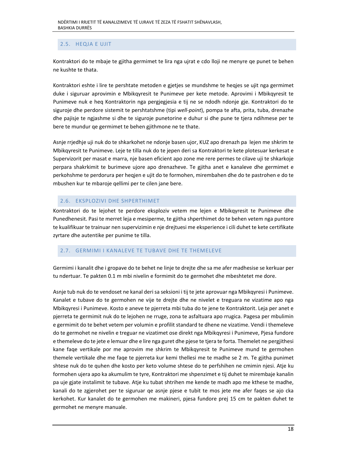# 2.5. HEQJA E UJIT

Kontraktori do te mbaje te gjitha germimet te lira nga ujrat e cdo lloji ne menyre qe punet te behen ne kushte te thata.

Kontraktori eshte i lire te pershtate metoden e gjetjes se mundshme te heqjes se ujit nga germimet duke i siguruar aprovimin e Mbikqyresit te Punimeve per kete metode. Aprovimi i Mbikqyresit te Punimeve nuk e heq Kontraktorin nga pergjegjesia e tij ne se ndodh ndonje gje. Kontraktori do te siguroje dhe perdore sistemit te pershtatshme (tipi *well‐point*), pompa te afta, prita, tuba, drenazhe dhe pajisje te ngjashme si dhe te siguroje punetorine e duhur si dhe pune te tjera ndihmese per te bere te mundur qe germimet te behen gjithmone ne te thate.

Asnje rrjedhje uji nuk do te shkarkohet ne ndonje basen ujor, KUZ apo drenazh pa lejen me shkrim te Mbikqyresit te Punimeve. Leje te tilla nuk do te jepen deri sa Kontraktori te kete plotesuar kerkesat e Supervizorit per masat e marra, nje basen eficient apo zone me rere permes te cilave uji te shkarkoje perpara shakrkimit te burimeve ujore apo drenazheve. Te gjitha anet e kanaleve dhe germimet e perkohshme te perdorura per heqjen e ujit do te formohen, mirembahen dhe do te pastrohen e do te mbushen kur te mbaroje qellimi per te cilen jane bere.

# 2.6. EKSPLOZIVI DHE SHPERTHIMET

Kontraktori do te lejohet te perdore eksploziv vetem me lejen e Mbikqyresit te Punimeve dhe Punedhenesit. Pasi te merret leja e mesiperme, te gjitha shperthimet do te behen vetem nga puntore te kualifikuar te trainuar nen supervizimin e nje drejtuesi me eksperience i cili duhet te kete certifikate zyrtare dhe autentike per punime te tilla.

# 2.7. GERMIMI I KANALEVE TE TUBAVE DHE TE THEMELEVE

Germimi i kanalit dhe i gropave do te behet ne linje te drejte dhe sa me afer madhesise se kerkuar per tu ndertuar. Te pakten 0.1 m mbi nivelin e formimit do te germohet dhe mbeshtetet me dore.

Asnje tub nuk do te vendoset ne kanal deri sa seksioni i tij te jete aprovuar nga Mbikqyresi i Punimeve. Kanalet e tubave do te germohen ne vije te drejte dhe ne nivelet e treguara ne vizatime apo nga Mbikqyresi i Punimeve. Kosto e aneve te pjerreta mbi tuba do te jene te Kontraktorit. Leja per anet e pjerreta te germimit nuk do te lejohen ne rruge, zona te asfaltuara apo rrugica. Pagesa per mbulimin e germimit do te behet vetem per volumin e profilit standard te dhene ne vizatime. Vendi i themeleve do te germohet ne nivelin e treguar ne vizatimet ose direkt nga Mbikqyresi i Punimeve, Pjesa fundore e themeleve do te jete e lemuar dhe e lire nga guret dhe pjese te tjera te forta. Themelet ne pergjithesi kane faqe vertikale por me aprovim me shkrim te Mbikqyresit te Punimeve mund te germohen themele vertikale dhe me faqe te pjerreta kur kemi thellesi me te madhe se 2 m. Te gjitha punimet shtese nuk do te quhen dhe kosto per keto volume shtese do te perfshihen ne cmimin njesi. Atje ku formohen ujera apo ka akumulim te tyre, Kontraktori me shpenzimet e tij duhet te mirembaje kanalin pa uje gjate instalimit te tubave. Atje ku tubat shtrihen me kende te madh apo me kthese te madhe, kanali do te zgjerohet per te siguruar qe asnje pjese e tubit te mos jete me afer faqes se ajo cka kerkohet. Kur kanalet do te germohen me makineri, pjesa fundore prej 15 cm te pakten duhet te germohet ne menyre manuale.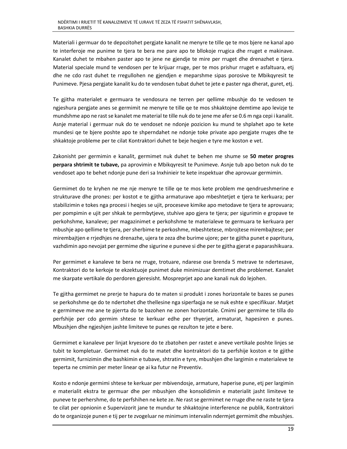Materiali i germuar do te depozitohet pergjate kanalit ne menyre te tille qe te mos bjere ne kanal apo te interferoje me punime te tjera te bera me pare apo te bllokoje rrugica dhe rruget e makinave. Kanalet duhet te mbahen paster apo te jene ne gjendje te mire per rruget dhe drenazhet e tjera. Material speciale mund te vendosen per te krijuar rruge, per te mos prishur rruget e asfaltuara, etj dhe ne cdo rast duhet te rregullohen ne gjendjen e meparshme sipas porosive te Mbikqyresit te Punimeve. Pjesa pergjate kanalit ku do te vendosen tubat duhet te jete e paster nga dherat, guret, etj.

Te gjitha materialet e germuara te vendosura ne terren per qellime mbushje do te vedosen te ngjeshura pergjate anes se germimit ne menyre te tille qe te mos shkaktojne demtime apo levizje te mundshme apo ne rast se kanalet me material te tille nuk do te jene me afer se 0.6 m nga cepi i kanalit. Asnje material i germuar nuk do te vendoset ne ndonje pozicion ku mund te shplahet apo te kete mundesi qe te bjere poshte apo te shperndahet ne ndonje toke private apo pergjate rruges dhe te shkaktoje probleme per te cilat Kontraktori duhet te beje heqjen e tyre me koston e vet.

Zakonisht per germimin e kanalit, germimet nuk duhet te behen me shume se 50 meter progres **perpara shtrimit te tubave,** pa aprovimin e Mbikqyresit te Punimeve. Asnje tub apo beton nuk do te vendoset apo te behet ndonje pune deri sa Inxhinieir te kete inspektuar dhe aprovuar germimin.

Germimet do te kryhen ne me nje menyre te tille qe te mos kete problem me qendrueshmerine e strukturave dhe prones: per kostot e te gjitha armaturave apo mbeshtetjet e tjera te kerkuara; per stabilizimin e tokes nga procesi i heqjes se ujit, proceseve kimike apo metodave te tjera te aprovuara; per pompimin e ujit per shkak te permbytjeve, stuhive apo gjera te tjera; per sigurimin e gropave te perkohshme, kanaleve; per magazinimet e perkohshme te materialeve te germuara te kerkuara per mbushje apo qellime te tjera, per sherbime te perkoshme, mbeshtetese, mbrojtese mirembajtese; per mirembajtjen e rrjedhjes ne drenazhe, ujera te zeza dhe burime ujore; per te gjitha punet e papritura, vazhdimin apo nevojat per germime dhe sigurine e puneve si dhe per te gjitha gjerat e paparashikuara.

Per germimet e kanaleve te bera ne rruge, trotuare, ndarese ose brenda 5 metrave te ndertesave, Kontraktori do te kerkoje te ekzektuoje punimet duke minimizuar demtimet dhe problemet. Kanalet me skarpate vertikale do perdoren gjeresisht. Mospreprjet apo ane kanali nuk do lejohen.

Te gjitha germimet ne prerje te hapura do te maten si produkt i zones horizontale te bazes se punes se perkohshme qe do te ndertohet dhe thellesine nga siperfaqja ne se nuk eshte e specifikuar. Matjet e germimeve me ane te pjerrta do te bazohen ne zonen horizontale. Cmimi per germime te tilla do perfshije per cdo germim shtese te kerkuar edhe per thyerjet, armaturat, hapesiren e punes. Mbushjen dhe ngjeshjen jashte limiteve te punes qe rezulton te jete e bere.

Germimet e kanaleve per linjat kryesore do te zbatohen per rastet e aneve vertikale poshte linjes se tubit te kompletuar. Germimet nuk do te matet dhe kontraktori do ta perfshije koston e te gjithe germimit, furnizimin dhe bashkimin e tubave, shtratin e tyre, mbushjen dhe largimin e materialeve te teperta ne cmimin per meter linear qe ai ka futur ne Preventiv.

Kosto e ndonje germimi shtese te kerkuar per mbivendosje, armature, haperise pune, etj per largimin e materialit ekstra te germuar dhe per mbushjen dhe konsolidimin e materialit jasht limiteve te puneve te perhershme, do te perfshihen ne kete ze. Ne rast se germimet ne rruge dhe ne raste te tjera te cilat per opnionin e Supervizorit jane te mundur te shkaktojne interference ne publik, Kontraktori do te organizoje punen e tij per te zvogeluar ne minimum intervalin ndermjet germimit dhe mbushjes.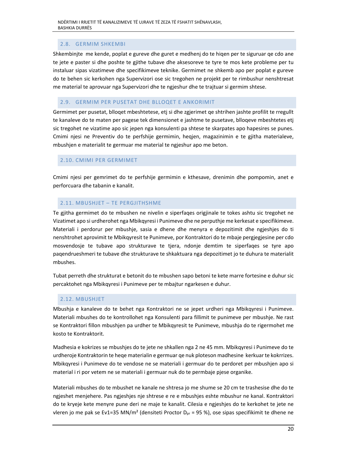# 2.8. GERMIM SHKEMBI

Shkembinjte me kende, poplat e gureve dhe guret e medhenj do te hiqen per te siguruar qe cdo ane te jete e paster si dhe poshte te gjithe tubave dhe aksesoreve te tyre te mos kete probleme per tu instaluar sipas vizatimeve dhe specifikimeve teknike. Germimet ne shkemb apo per poplat e gureve do te behen sic kerkohen nga Supervizori ose sic tregohen ne projekt per te rimbushur nenshtresat me material te aprovuar nga Supervizori dhe te ngjeshur dhe te trajtuar si germim shtese.

## 2.9. GERMIM PER PUSETAT DHE BLLOQET E ANKORIMIT

Germimet per pusetat, blloqet mbeshtetese, etj si dhe zgjerimet qe shtrihen jashte profilit te rregullt te kanaleve do te maten per pagese tek dimensionet e jashtme te pusetave, blloqeve mbeshtetes etj sic tregohet ne vizatime apo sic jepen nga konsulenti pa shtese te skarpates apo hapesires se punes. Cmimi njesi ne Preventiv do te perfshije germimin, heqjen, magazinimin e te gjitha materialeve, mbushjen e materialit te germuar me material te ngjeshur apo me beton.

## 2.10. CMIMI PER GERMIMET

Cmimi njesi per gemrimet do te perfshije germimin e kthesave, drenimin dhe pompomin, anet e perforcuara dhe tabanin e kanalit.

## 2.11. MBUSHJET – TE PERGJITHSHME

Te gjitha germimet do te mbushen ne nivelin e siperfaqes origjinale te tokes ashtu sic tregohet ne Vizatimet apo si urdherohet nga Mbikqyresi i Punimeve dhe ne perputhje me kerkesat e specifikimeve. Materiali i perdorur per mbushje, sasia e dhene dhe menyra e depozitimit dhe ngjeshjes do ti nenshtrohet aprovimit te Mbikqyresit te Punimeve, por Kontraktori do te mbaje pergjegjesine per cdo mosvendosje te tubave apo strukturave te tjera, ndonje demtim te siperfaqes se tyre apo paqendrueshmeri te tubave dhe strukturave te shkaktuara nga depozitimet jo te duhura te materialit mbushes.

Tubat perreth dhe strukturat e betonit do te mbushen sapo betoni te kete marre fortesine e duhur sic percaktohet nga Mbikqyresi i Punimeve per te mbajtur ngarkesen e duhur.

## 2.12. MBUSHJET

Mbushja e kanaleve do te behet nga Kontraktori ne se jepet urdheri nga Mbikqyresi i Punimeve. Materiali mbushes do te kontrollohet nga Konsulenti para fillimit te punimeve per mbushje. Ne rast se Kontraktori fillon mbushjen pa urdher te Mbikqyresit te Punimeve, mbushja do te rigermohet me kosto te Kontraktorit.

Madhesia e kokrizes se mbushjes do te jete ne shkallen nga 2 ne 45 mm. Mbikqyresi i Punimeve do te urdheroje Kontraktorin te heqe materialin e germuar qe nuk ploteson madhesine kerkuar te kokrrizes. Mbikqyresi i Punimeve do te vendose ne se materiali i germuar do te perdoret per mbushjen apo si material i ri por vetem ne se materiali i germuar nuk do te permbaje pjese organike.

Materiali mbushes do te mbushet ne kanale ne shtresa jo me shume se 20 cm te trashesise dhe do te ngjeshet menjehere. Pas ngjeshjes nje shtrese e re e mbushjes eshte mbushur ne kanal. Kontraktori do te kryeje kete menyre pune deri ne maje te kanalit. Cilesia e ngjeshjes do te kerkohet te jete ne vleren jo me pak se Ev1=35 MN/m<sup>2</sup> (densiteti Proctor D<sub>pr</sub> = 95 %), ose sipas specifikimit te dhene ne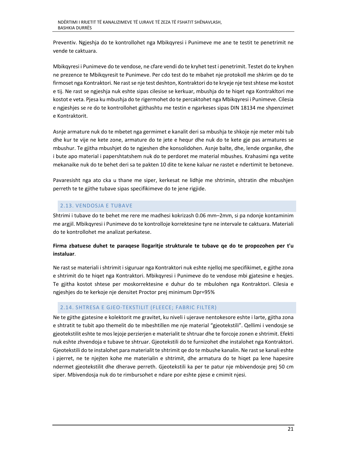Preventiv. Ngjeshja do te kontrollohet nga Mbikqyresi i Punimeve me ane te testit te penetrimit ne vende te caktuara.

Mbikqyresi i Punimeve do te vendose, ne cfare vendi do te kryhet test i penetrimit. Testet do te kryhen ne prezence te Mbikqyresit te Punimeve. Per cdo test do te mbahet nje protokoll me shkrim qe do te firmoset nga Kontraktori. Ne rast se nje test deshton, Kontraktori do te kryeje nje test shtese me kostot e tij. Ne rast se ngjeshja nuk eshte sipas cilesise se kerkuar, mbushja do te hiqet nga Kontrakltori me kostot e veta. Pjesa ku mbushja do te rigermohet do te percaktohet nga Mbikqyresi i Punimeve. Cilesia e ngjeshjes se re do te kontrollohet gjithashtu me testin e ngarkeses sipas DIN 18134 me shpenzimet e Kontraktorit.

Asnje armature nuk do te mbetet nga germimet e kanalit deri sa mbushja te shkoje nje meter mbi tub dhe kur te vije ne kete zone, armature do te jete e hequr dhe nuk do te kete gje pas armatures se mbushur. Te gjitha mbushjet do te ngjeshen dhe konsolidohen. Asnje balte, dhe, lende organike, dhe i bute apo material i papershtatshem nuk do te perdoret me material mbushes. Krahasimi nga vetite mekanaike nuk do te behet deri sa te pakten 10 dite te kene kaluar ne rastet e ndertimit te betoneve.

Pavaresisht nga ato cka u thane me siper, kerkesat ne lidhje me shtrimin, shtratin dhe mbushjen perreth te te gjithe tubave sipas specifikimeve do te jene rigjide.

# 2.13. VENDOSJA E TUBAVE

Shtrimi i tubave do te behet me rere me madhesi kokrizash 0.06 mm–2mm, si pa ndonje kontaminim me argjil. Mbikqyresi i Punimeve do te kontrolloje korrektesine tyre ne intervale te caktuara. Materiali do te kontrollohet me analizat perkatese.

# **Firma zbatuese duhet te paraqese llogaritje strukturale te tubave qe do te propozohen per t'u instaluar**.

Ne rast se materiali i shtrimit i siguruar nga Kontraktori nuk eshte njelloj me specifikimet, e gjithe zona e shtrimit do te hiqet nga Kontraktori. Mbikqyresi i Punimeve do te vendose mbi gjatesine e heqjes. Te gjitha kostot shtese per moskorrektesine e duhur do te mbulohen nga Kontraktori. Cilesia e ngjeshjes do te kerkoje nje densitet Proctor prej minimum Dpr=95%

## 2.14. SHTRESA E GJEO‐TEKSTILIT (FLEECE; FABRIC FILTER)

Ne te gjithe gjatesine e kolektorit me gravitet, ku niveli i ujerave nentokesore eshte i larte, gjitha zona e shtratit te tubit apo themelit do te mbeshtillen me nje material "gjeotekstili". Qellimi i vendosje se gjeotekstilit eshte te mos lejoje perzierjen e materialit te shtruar dhe te forcoje zonen e shtrimit. Efekti nuk eshte zhvendoja e tubave te shtruar. Gjeotekstili do te furnizohet dhe instalohet nga Kontraktori. Gjeotekstili do te instalohet para materialit te shtrimit qe do te mbushe kanalin. Ne rast se kanali eshte i pjerret, ne te njejten kohe me materialin e shtrimit, dhe armatura do te hiqet pa lene hapesire ndermet gjeotekstilit dhe dherave perreth. Gjeotekstili ka per te patur nje mbivendosje prej 50 cm siper. Mbivendosja nuk do te rimbursohet e ndare por eshte pjese e cmimit njesi.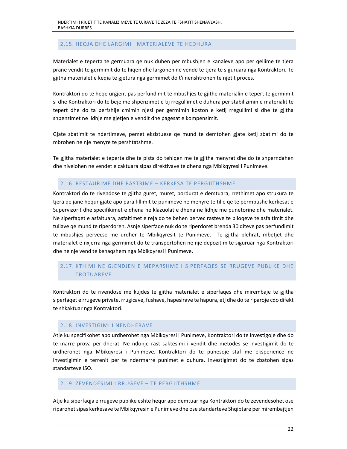## 2.15. HEQJA DHE LARGIMI I MATERIALEVE TE HEDHURA

Materialet e teperta te germuara qe nuk duhen per mbushjen e kanaleve apo per qellime te tjera prane vendit te germimit do te hiqen dhe largohen ne vende te tjera te siguruara nga Kontraktori. Te gjitha materialet e keqia te gjetura nga germimet do t'i nenshtrohen te njetit proces.

Kontraktori do te heqe urgjent pas perfundimit te mbushjes te gjithe materialin e tepert te germimit si dhe Kontraktori do te beje me shpenzimet e tij rregullimet e duhura per stabilizimin e materialit te tepert dhe do ta perfshije cmimin njesi per germimin koston e ketij rregullimi si dhe te gjitha shpenzimet ne lidhje me gjetjen e vendit dhe pagesat e kompensimit.

Gjate zbatimit te ndertimeve, pemet ekzistuese qe mund te demtohen gjate ketij zbatimi do te mbrohen ne nje menyre te pershtatshme.

Te gjitha materialet e teperta dhe te pista do tehiqen me te gjitha menyrat dhe do te shperndahen dhe nivelohen ne vendet e caktuara sipas direktivave te dhena nga Mbikqyresi i Punimeve.

#### 2.16. RESTAURIME DHE PASTRIME – KERKESA TE PERGJITHSHME

Kontraktori do te rivendose te gjitha guret, muret, bordurat e demtuara, rrethimet apo strukura te tjera qe jane hequr gjate apo para fillimit te punimeve ne menyre te tille qe te permbushe kerkesat e Supervizorit dhe specifikimet e dhena ne klazuolat e dhena ne lidhje me punetorine dhe materialet. Ne siperfaqet e asfaltuara, asfaltimet e reja do te behen pervec rasteve te blloqeve te asfaltimit dhe tullave qe mund te riperdoren. Asnje siperfaqe nuk do te riperdoret brenda 30 diteve pas perfundimit te mbushjes pervecse me urdher te Mbikqyresit te Punimeve. Te gjitha plehrat, mbetjet dhe materialet e nxjerra nga germimet do te transportohen ne nje depozitim te siguruar nga Kontraktori dhe ne nje vend te kenaqshem nga Mbikqyresi i Punimeve.

# 2.17. KTHIMI NE GJENDJEN E MEPARSHME I SIPERFAQES SE RRUGEVE PUBLIKE DHE TROTUAREVE

Kontraktori do te rivendose me kujdes te gjitha materialet e siperfaqes dhe mirembaje te gjitha siperfaqet e rrugeve private, rrugicave, fushave, hapesirave te hapura, etj dhe do te riparoje cdo difekt te shkaktuar nga Kontraktori.

## 2.18. INVESTIGIMI I NENDHERAVE

Atje ku specifikohet apo urdherohet nga Mbikqyresi i Punimeve, Kontraktori do te investigoje dhe do te marre prova per dherat. Ne ndonje rast saktesimi i vendit dhe metodes se investigimit do te urdherohet nga Mbikqyresi i Punimeve. Kontraktori do te punesoje staf me eksperience ne investigimin e terrenit per te ndermarre punimet e duhura. Investigimet do te zbatohen sipas standarteve ISO.

#### 2.19. ZEVENDESIMI I RRUGEVE – TE PERGJITHSHME

Atje ku siperfaqja e rrugeve publike eshte hequr apo demtuar nga Kontraktori do te zevendesohet ose riparohet sipas kerkesave te Mbikqyresin e Punimeve dhe ose standarteve Shqiptare per mirembajtjen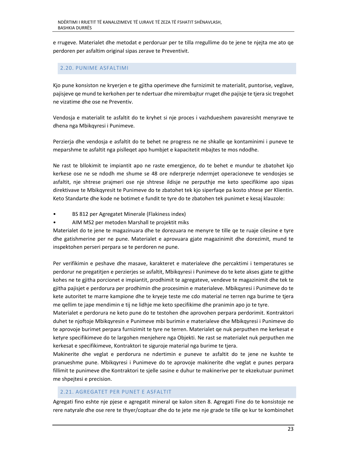e rrugeve. Materialet dhe metodat e perdoruar per te tilla rregullime do te jene te njejta me ato qe perdoren per asfaltim original sipas zerave te Preventivit.

## 2.20. PUNIME ASFALTIMI

Kjo pune konsiston ne kryerjen e te gjitha operimeve dhe furnizimit te materialit, puntorise, veglave, pajisjeve qe mund te kerkohen per te ndertuar dhe mirembajtur rruget dhe pajisje te tjera sic tregohet ne vizatime dhe ose ne Preventiv.

Vendosja e materialit te asfaltit do te kryhet si nje proces i vazhdueshem pavaresisht menyrave te dhena nga Mbikqyresi i Punimeve.

Perzierja dhe vendosja e asfaltit do te behet ne progress ne ne shkalle qe kontaminimi i puneve te meparshme te asfaltit nga pislleqet apo humbjet e kapacitetit mbajtes te mos ndodhe.

Ne rast te bllokimit te impiantit apo ne raste emergjence, do te behet e mundur te zbatohet kjo kerkese ose ne se ndodh me shume se 48 ore nderprerje ndermjet operacioneve te vendosjes se asfaltit, nje shtrese prajmeri ose nje shtrese ildisje ne perputhje me keto specifikime apo sipas direktivave te Mbikqyresit te Punimeve do te zbatohet tek kjo siperfaqe pa kosto shtese per Klientin. Keto Standarte dhe kode ne botimet e fundit te tyre do te zbatohen tek punimet e kesaj klauzole:

- BS 812 per Agregatet Minerale (Flakiness index)
- AIM MS2 per metoden Marshall te projektit miks

Materialet do te jene te magazinuara dhe te dorezuara ne menyre te tille qe te ruaje cilesine e tyre dhe gatishmerine per ne pune. Materialet e aprovuara gjate magazinimit dhe dorezimit, mund te inspektohen perseri perpara se te perdoren ne pune.

Per verifikimin e peshave dhe masave, karakteret e materialeve dhe percaktimi i temperatures se perdorur ne pregatitjen e perzierjes se asfaltit, Mbikqyresi i Punimeve do te kete akses gjate te gjithe kohes ne te gjitha porcionet e impiantit, prodhimit te agregateve, vendeve te magazinimit dhe tek te gjitha pajisjet e perdorura per prodhimin dhe procesimin e materialeve. Mbikqyresi i Punimeve do te kete autoritet te marre kampione dhe te kryeje teste me cdo material ne terren nga burime te tjera me qellim te jape mendimin e tij ne lidhje me keto specifikime dhe pranimin apo jo te tyre.

Materialet e perdorura ne keto pune do te testohen dhe aprovohen perpara perdorimit. Kontraktori duhet te njoftoje Mbikqyresin e Punimeve mbi burimin e materialeve dhe Mbikqyresi i Punimeve do te aprovoje burimet perpara furnizimit te tyre ne terren. Materialet qe nuk perputhen me kerkesat e ketyre specifikimeve do te largohen menjehere nga Objekti. Ne rast se materialet nuk perputhen me kerkesat e specifikimeve, Kontraktori te siguroje material nga burime te tjera.

Makinerite dhe veglat e perdorura ne ndertimin e puneve te asfaltit do te jene ne kushte te pranueshme pune. Mbikqyresi i Punimeve do te aprovoje makinerite dhe veglat e punes perpara fillimit te punimeve dhe Kontraktori te sjelle sasine e duhur te makinerive per te ekzekutuar punimet me shpejtesi e precision.

## 2.21. AGREGATET PER PUNET E ASFALTIT

Agregati fino eshte nje pjese e agregatit mineral qe kalon siten 8. Agregati Fine do te konsistoje ne rere natyrale dhe ose rere te thyer/coptuar dhe do te jete me nje grade te tille qe kur te kombinohet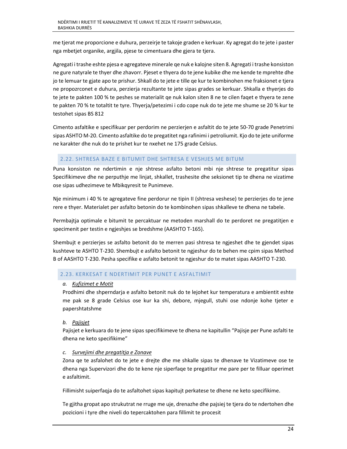me tjerat me proporcione e duhura, perzeirje te takoje graden e kerkuar. Ky agregat do te jete i paster nga mbetjet organike, argjila, pjese te cimentuara dhe gjera te tjera.

Agregati i trashe eshte pjesa e agregateve minerale qe nuk e kalojne siten 8. Agregati i trashe konsiston ne gure natyrale te thyer dhe zhavorr. Pjeset e thyera do te jene kubike dhe me kende te mprehte dhe jo te lemuar te gjate apo te prishur. Shkall do te jete e tille qe kur te kombinohen me fraksionet e tjera ne propozrconet e duhura, perzierja rezultante te jete sipas grades se kerkuar. Shkalla e thyerjes do te jete te pakten 100 % te peshes se materialit qe nuk kalon siten 8 ne te cilen faqet e thyera te zene te pakten 70 % te totaltit te tyre. Thyerja/petezimi i cdo cope nuk do te jete me shume se 20 % kur te testohet sipas BS 812

Cimento asfaltike e specifikuar per perdorim ne perzierjen e asfaltit do te jete 50‐70 grade Penetrimi sipas ASHTO M‐20. Cimento asfaltike do te pregatitet nga rafinimi i petroliumit. Kjo do te jete uniforme ne karakter dhe nuk do te prishet kur te nxehet ne 175 grade Celsius.

## 2.22. SHTRESA BAZE E BITUMIT DHE SHTRESA E VESHJES ME BITUM

Puna konsiston ne ndertimin e nje shtrese asfalto betoni mbi nje shtrese te pregatitur sipas Specifikimeve dhe ne perputhje me linjat, shkallet, trashesite dhe seksionet tip te dhena ne vizatime ose sipas udhezimeve te Mbikqyresit te Punimeve.

Nje minimum i 40 % te agregateve fine perdorur ne tipin II (shtresa veshese) te perzierjes do te jene rere e thyer. Materialet per asfalto betonin do te kombinohen sipas shkalleve te dhena ne tabele.

Permbajtja optimale e bitumit te percaktuar ne metoden marshall do te perdoret ne pregatitjen e specimenit per testin e ngjeshjes se bredshme (AASHTO T‐165).

Shembujt e perzierjes se asfalto betonit do te merren pasi shtresa te ngjeshet dhe te gjendet sipas kushteve te ASHTO T‐230. Shembujt e asfalto betonit te ngjeshur do te behen me cpim sipas Method B of AASHTO T‐230. Pesha specifike e asfalto betonit te ngjeshur do te matet sipas AASHTO T‐230.

#### 2.23. KERKESAT E NDERTIMIT PER PUNET E ASFALTIMIT

#### *a. Kufizimet e Motit*

Prodhimi dhe shperndarja e asfalto betonit nuk do te lejohet kur temperatura e ambientit eshte me pak se 8 grade Celsius ose kur ka shi, debore, mjegull, stuhi ose ndonje kohe tjeter e papershtatshme

## *b. Pajisjet*

Pajisjet e kerkuara do te jene sipas specifikimeve te dhena ne kapitullin "Pajisje per Pune asfalti te dhena ne keto specifikime"

## *c. Survejimi dhe pregatitja e Zonave*

Zona qe te asfalohet do te jete e drejte dhe me shkalle sipas te dhenave te Vizatimeve ose te dhena nga Supervizori dhe do te kene nje siperfaqe te pregatitur me pare per te filluar operimet e asfaltimit.

Fillimisht suiperfaqja do te asfaltohet sipas kapitujt perkatese te dhene ne keto specifikime.

Te gjitha gropat apo strukutrat ne rruge me uje, drenazhe dhe pajsiej te tjera do te ndertohen dhe pozicioni i tyre dhe niveli do tepercaktohen para fillimit te procesit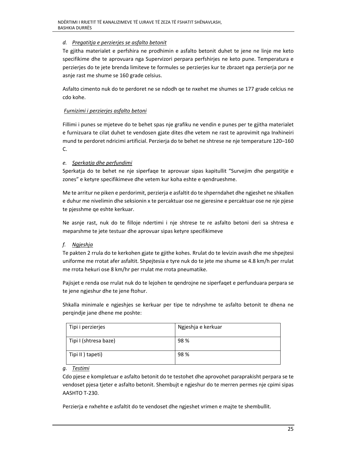# *d. Pregatitja e perzierjes se asfalto betonit*

Te gjitha materialet e perfshira ne prodhimin e asfalto betonit duhet te jene ne linje me keto specifikime dhe te aprovuara nga Supervizori perpara perfshirjes ne keto pune. Temperatura e perzierjes do te jete brenda limiteve te formules se perzierjes kur te zbrazet nga perzierja por ne asnje rast me shume se 160 grade celsius.

Asfalto cimento nuk do te perdoret ne se ndodh qe te nxehet me shumes se 177 grade celcius ne cdo kohe.

## *Furnizimi i perzierjes asfalto betoni*

Fillimi i punes se mjeteve do te behet spas nje grafiku ne vendin e punes per te gjitha materialet e furnizuara te cilat duhet te vendosen gjate dites dhe vetem ne rast te aprovimit nga Inxhineiri mund te perdoret ndricimi artificial. Perzierja do te behet ne shtrese ne nje temperature 120–160 C.

## *e. Sperkatja dhe perfundimi*

Sperkatja do te behet ne nje siperfaqe te aprovuar sipas kapitullit "Survejim dhe pergatitje e zones" e ketyre specifikimeve dhe vetem kur koha eshte e qendrueshme.

Me te arritur ne piken e perdorimit, perzierja e asfaltit do te shperndahet dhe ngjeshet ne shkallen e duhur me nivelimin dhe seksionin x te percaktuar ose ne gjeresine e percaktuar ose ne nje pjese te pjesshme qe eshte kerkuar.

Ne asnje rast, nuk do te filloje ndertimi i nje shtrese te re asfalto betoni deri sa shtresa e meparshme te jete testuar dhe aprovuar sipas ketyre specifikimeve

# *f. Ngjeshja*

Te pakten 2 rrula do te kerkohen gjate te gjithe kohes. Rrulat do te levizin avash dhe me shpejtesi uniforme me rrotat afer asfaltit. Shpejtesia e tyre nuk do te jete me shume se 4.8 km/h per rrulat me rrota hekuri ose 8 km/hr per rrulat me rrota pneumatike.

Pajisjet e renda ose rrulat nuk do te lejohen te qendrojne ne siperfaqet e perfunduara perpara se te jene ngjeshur dhe te jene ftohur.

Shkalla minimale e ngjeshjes se kerkuar per tipe te ndryshme te asfalto betonit te dhena ne perqindje jane dhene me poshte:

| Tipi i perzierjes     | Ngjeshja e kerkuar |
|-----------------------|--------------------|
| Tipi I (shtresa baze) | 98%                |
| Tipi II ) tapeti)     | 98%                |

## *g. Testimi*

Cdo pjese e kompletuar e asfalto betonit do te testohet dhe aprovohet paraprakisht perpara se te vendoset pjesa tjeter e asfalto betonit. Shembujt e ngjeshur do te merren permes nje cpimi sipas AASHTO T‐230.

Perzierja e nxhehte e asfaltit do te vendoset dhe ngjeshet vrimen e majte te shembullit.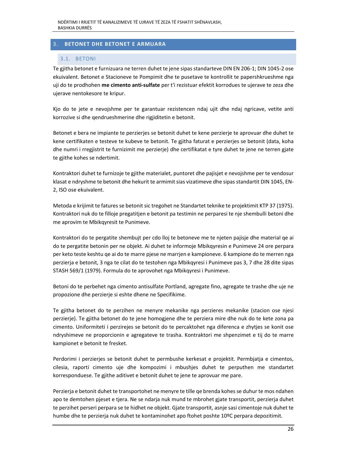# 3. **BETONET DHE BETONET E ARMUARA**

## 3.1. BETONI

Te gjitha betonet e furnizuara ne terren duhet te jene sipas standarteve DIN EN 206‐1; DIN 1045‐2 ose ekuivalent. Betonet e Stacioneve te Pompimit dhe te pusetave te kontrollit te papershkrueshme nga uji do te prodhohen **me cimento anti‐sulfate** per t'i rezistuar efektit korrodues te ujerave te zeza dhe ujerave nentokesore te kripur.

Kjo do te jete e nevojshme per te garantuar rezistencen ndaj ujit dhe ndaj ngricave, vetite anti korrozive si dhe qendrueshmerine dhe rigjiditetin e betonit.

Betonet e bera ne impiante te perzierjes se betonit duhet te kene perzierje te aprovuar dhe duhet te kene certifikaten e testeve te kubeve te betonit. Te gjitha faturat e perzierjes se betonit (data, koha dhe numri i rregjistrit te furnizimit me perzierje) dhe certifikatat e tyre duhet te jene ne terren gjate te gjithe kohes se ndertimit.

Kontraktori duhet te furnizoje te gjithe materialet, puntoret dhe pajisjet e nevojshme per te vendosur klasat e ndryshme te betonit dhe hekurit te armimit sias vizatimeve dhe sipas standartit DIN 1045, EN‐ 2, ISO ose ekuivalent.

Metoda e krijimit te fatures se betonit sic tregohet ne Standartet teknike te projektimit KTP 37 (1975). Kontraktori nuk do te filloje pregatitjen e betonit pa testimin ne perparesi te nje shembulli betoni dhe me aprovim te Mbikqyresit te Punimeve.

Kontraktori do te pergatite shembujt per cdo lloj te betoneve me te njeten pajisje dhe material qe ai do te pergatite betonin per ne objekt. Ai duhet te informoje Mbikqyresin e Punimeve 24 ore perpara per keto teste keshtu qe ai do te marre pjese ne marrjen e kampioneve. 6 kampione do te merren nga perzierja e betonit, 3 nga te cilat do te testohen nga Mbikqyresi i Punimeve pas 3, 7 dhe 28 dite sipas STASH 569/1 (1979). Formula do te aprovohet nga Mbikqyresi i Punimeve.

Betoni do te perbehet nga cimento antisulfate Portland, agregate fino, agregate te trashe dhe uje ne propozione dhe perzierje si eshte dhene ne Specifikime.

Te gjitha betonet do te perzihen ne menyre mekanike nga perzieres mekanike (stacion ose njesi perzierje). Te gjitha betonet do te jene homogjene dhe te perziera mire dhe nuk do te kete zona pa cimento. Uniformiteti i perzirejes se betonit do te percaktohet nga diferenca e zhytjes se konit ose ndryshimeve ne proporcionin e agregateve te trasha. Kontraktori me shpenzimet e tij do te marre kampionet e betonit te fresket.

Perdorimi i perzierjes se betonit duhet te permbushe kerkesat e projektit. Permbjatja e cimentos, cilesia, raporti cimento uje dhe kompozimi i mbushjes duhet te perputhen me standartet korresponduese. Te gjithe aditivet e betonit duhet te jene te aprovuar me pare.

Perzierja e betonit duhet te transportohet ne menyre te tille qe brenda kohes se duhur te mos ndahen apo te demtohen pjeset e tjera. Ne se ndarja nuk mund te mbrohet gjate transportit, perzierja duhet te perzihet perseri perpara se te hidhet ne objekt. Gjate transportit, asnje sasi cimentoje nuk duhet te humbe dhe te perzierja nuk duhet te kontaminohet apo ftohet poshte 10ºC perpara depozitimit.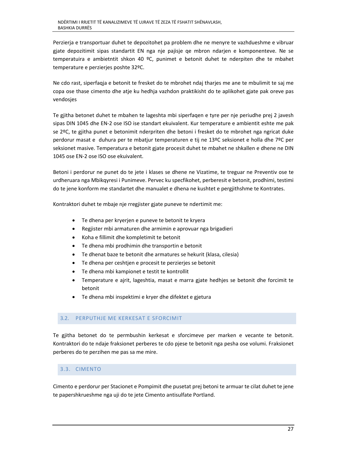Perzierja e transportuar duhet te depozitohet pa problem dhe ne menyre te vazhdueshme e vibruar gjate depozitimit sipas standartit EN nga nje pajisje qe mbron ndarjen e komponenteve. Ne se temperatuira e ambietntit shkon 40 ºC, punimet e betonit duhet te nderpiten dhe te mbahet temperature e perzierjes poshte 32ºC.

Ne cdo rast, siperfaqja e betonit te fresket do te mbrohet ndaj tharjes me ane te mbulimit te saj me copa ose thase cimento dhe atje ku hedhja vazhdon praktikisht do te aplikohet gjate pak oreve pas vendosjes

Te gjitha betonet duhet te mbahen te lageshta mbi siperfaqen e tyre per nje periudhe prej 2 javesh sipas DIN 1045 dhe EN‐2 ose ISO ise standart ekuivalent. Kur temperature e ambientit eshte me pak se 2ºC, te gjitha punet e betonimit nderpriten dhe betoni i fresket do te mbrohet nga ngricat duke perdorur masat e duhura per te mbatjur temperaturen e tij ne 13ºC seksionet e holla dhe 7ºC per seksionet masive. Temperatura e betonit gjate procesit duhet te mbahet ne shkallen e dhene ne DIN 1045 ose EN‐2 ose ISO ose ekuivalent.

Betoni i perdorur ne punet do te jete i klases se dhene ne Vizatime, te treguar ne Preventiv ose te urdheruara nga Mbikqyresi i Punimeve. Pervec ku specfikohet, perberesit e betonit, prodhimi, testimi do te jene konform me standartet dhe manualet e dhena ne kushtet e pergjithshme te Kontrates.

Kontraktori duhet te mbaje nje rregjister gjate puneve te ndertimit me:

- Te dhena per kryerjen e puneve te betonit te kryera
- Regjister mbi armaturen dhe armimin e aprovuar nga brigadieri
- Koha e fillimit dhe kompletimit te betonit
- Te dhena mbi prodhimin dhe transportin e betonit
- Te dhenat baze te betonit dhe armatures se hekurit (klasa, cilesia)
- Te dhena per ceshtjen e procesit te perzierjes se betonit
- Te dhena mbi kampionet e testit te kontrollit
- Temperature e ajrit, lageshtia, masat e marra gjate hedhjes se betonit dhe forcimit te betonit
- Te dhena mbi inspektimi e kryer dhe difektet e gjetura

## 3.2. PERPUTHJE ME KERKESAT E SFORCIMIT

Te gjitha betonet do te permbushin kerkesat e sforcimeve per marken e vecante te betonit. Kontraktori do te ndaje fraksionet perberes te cdo pjese te betonit nga pesha ose volumi. Fraksionet perberes do te perzihen me pas sa me mire.

# 3.3. CIMENTO

Cimento e perdorur per Stacionet e Pompimit dhe pusetat prej betoni te armuar te cilat duhet te jene te papershkrueshme nga uji do te jete Cimento antisulfate Portland.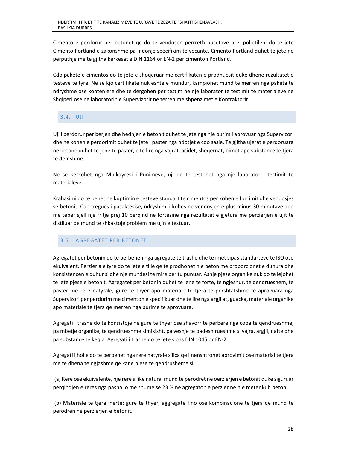Cimento e perdorur per betonet qe do te vendosen perrreth pusetave prej polietileni do te jete Cimento Portland e zakonshme pa ndonje specifikim te vecante. Cimento Portland duhet te jete ne perputhje me te gjitha kerkesat e DIN 1164 or EN‐2 per cimenton Portland.

Cdo pakete e cimentos do te jete e shoqeruar me certifikaten e prodhuesit duke dhene rezultatet e testeve te tyre. Ne se kjo certifikate nuk eshte e mundur, kampionet mund te merren nga paketa te ndryshme ose konteniere dhe te dergohen per testim ne nje laborator te testimit te materialeve ne Shqiperi ose ne laboratorin e Supervizorit ne terren me shpenzimet e Kontraktorit.

## 3.4. UJI

Uji i perdorur per berjen dhe hedhjen e betonit duhet te jete nga nje burim i aprovuar nga Supervizori dhe ne kohen e perdorimit duhet te jete i paster nga ndotjet e cdo sasie. Te gjitha ujerat e perdoruara ne betone duhet te jene te paster, e te lire nga vajrat, acidet, sheqernat, bimet apo substance te tjera te demshme.

Ne se kerkohet nga Mbikqyresi i Punimeve, uji do te testohet nga nje laborator i testimit te materialeve.

Krahasimi do te behet ne kuptimin e testeve standart te cimentos per kohen e forcimit dhe vendosjes se betonit. Cdo tregues i pasaktesise, ndryshimi i kohes ne vendosjen e plus minus 30 minutave apo me teper sjell nje rritje prej 10 perqind ne fortesine nga rezultatet e gjetura me perzierjen e ujit te distiluar qe mund te shkaktoje problem me ujin e testuar.

# 3.5. AGREGATET PER BETONET

Agregatet per betonin do te perbehen nga agregate te trashe dhe te imet sipas standarteve te ISO ose ekuivalent. Perzierja e tyre do te jete e tille qe te prodhohet nje beton me proporcionet e duhura dhe konsistencen e duhur si dhe nje mundesi te mire per tu punuar. Asnje pjese organike nuk do te lejohet te jete pjese e betonit. Agregatet per betonin duhet te jene te forte, te ngjeshur, te qendrueshem, te paster me rere natyrale, gure te thyer apo materiale te tjera te pershtatshme te aprovuara nga Supervizori per perdorim me cimenton e specifikuar dhe te lire nga argjilat, guacka, materiale organike apo materiale te tjera qe merren nga burime te aprovuara.

Agregati i trashe do te konsistoje ne gure te thyer ose zhavorr te perbere nga copa te qendrueshme, pa mbetje organike, te qendrueshme kimikisht, pa veshje te padeshirueshme si vajra, argjil, nafte dhe pa substance te keqia. Agregati i trashe do te jete sipas DIN 1045 or EN‐2.

Agregati i holle do te perbehet nga rere natyrale silica qe i nenshtrohet aprovimit ose material te tjera me te dhena te ngjashme qe kane pjese te qendrusheme si:

 (a) Rere ose ekuivalente, nje rere silike natural mund te perodret ne oerzierjen e betonit duke siguruar perqindjen e reres nga pasha jo me shume se 23 % ne agregaton e perzier ne nje meter kub beton.

 (b) Materiale te tjera inerte: gure te thyer, aggregate fino ose kombinacione te tjera qe mund te perodren ne perzierjen e betonit.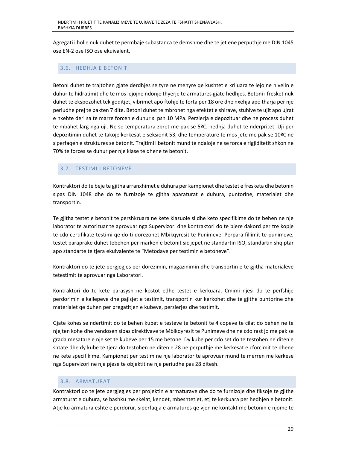Agregati i holle nuk duhet te permbaje subastanca te demshme dhe te jet ene perputhje me DIN 1045 ose EN‐2 ose ISO ose ekuivalent.

## 3.6. HEDHJA E BETONIT

Betoni duhet te trajtohen gjate derdhjes se tyre ne menyre qe kushtet e krijuara te lejojne nivelin e duhur te hidratimit dhe te mos lejojne ndonje thyerje te armatures gjate hedhjes. Betoni i fresket nuk duhet te ekspozohet tek goditjet, vibrimet apo ftohje te forta per 18 ore dhe nxehja apo tharja per nje periudhe prej te pakten 7 dite. Betoni duhet te mbrohet nga efektet e shirave, stuhive te ujit apo ujrat e nxehte deri sa te marre forcen e duhur si psh 10 MPa. Perzierja e depozituar dhe ne process duhet te mbahet larg nga uji. Ne se temperatura zbret me pak se 5ºC, hedhja duhet te nderpritet. Uji per depozitimin duhet te takoje kerkesat e seksionit 53, dhe temperature te mos jete me pak se 10ºC ne siperfaqen e struktures se betonit. Trajtimi i betonit mund te ndaloje ne se forca e rigjiditetit shkon ne 70% te forces se duhur per nje klase te dhene te betonit.

# 3.7. TESTIMI I BETONEVE

Kontraktori do te beje te gjitha arranxhimet e duhura per kampionet dhe testet e fresketa dhe betonin sipas DIN 1048 dhe do te furnizoje te gjitha aparaturat e duhura, puntorine, materialet dhe transportin.

Te gjitha testet e betonit te pershkruara ne kete klazuole si dhe keto specifikime do te behen ne nje laborator te autorizuar te aprovuar nga Supervizori dhe kontraktori do te bjere dakord per tre kopje te cdo certifikate testimi qe do ti dorezohet Mbikqyresit te Punimeve. Perpara fillimit te punimeve, testet paraprake duhet tebehen per marken e betonit sic jepet ne standartin ISO, standartin shqiptar apo standarte te tjera ekuivalente te "Metodave per testimin e betoneve".

Kontraktori do te jete pergjegjes per dorezimin, magazinimin dhe transportin e te gjitha materialeve tetestimit te aprovuar nga Laboratori.

Kontraktori do te kete parasysh ne kostot edhe testet e kerkuara. Cmimi njesi do te perfshije perdorimin e kallepeve dhe pajisjet e testimit, transportin kur kerkohet dhe te gjithe puntorine dhe materialet qe duhen per pregatitjen e kubeve, perzierjes dhe testimit.

Gjate kohes se ndertimit do te behen kubet e testeve te betonit te 4 copeve te cilat do behen ne te njejten kohe dhe vendosen sipas direktivave te Mbikqyresit te Punimeve dhe ne cdo rast jo me pak se grada mesatare e nje set te kubeve per 15 me betone. Dy kube per cdo set do te testohen ne diten e shtate dhe dy kube te tjera do testohen ne diten e 28 ne perputhje me kerkesat e cforcimit te dhene ne kete specifikime. Kampionet per testim ne nje laborator te aprovuar mund te merren me kerkese nga Supervizori ne nje pjese te objektit ne nje periudhe pas 28 ditesh.

## 3.8. ARMATURAT

Kontraktori do te jete pergjegjes per projektin e armaturave dhe do te furnizoje dhe fiksoje te gjithe armaturat e duhura, se bashku me skelat, kendet, mbeshtetjet, etj te kerkuara per hedhjen e betonit. Atje ku armatura eshte e perdorur, siperfaqja e armatures qe vjen ne kontakt me betonin e njome te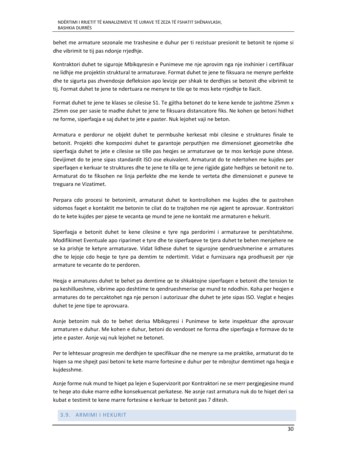behet me armature sezonale me trashesine e duhur per ti rezistuar presionit te betonit te njome si dhe vibrimit te tij pas ndonje rrjedhje.

Kontraktori duhet te siguroje Mbikqyresin e Punimeve me nje aprovim nga nje inxhinier i certifikuar ne lidhje me projektin struktural te armaturave. Format duhet te jene te fiksuara ne menyre perfekte dhe te sigurta pas zhvendosje defleksion apo levizje per shkak te derdhjes se betonit dhe vibrimit te tij. Format duhet te jene te ndertuara ne menyre te tile qe te mos kete rrjedhje te llacit.

Format duhet te jene te klases se cilesise S1. Te gjitha betonet do te kene kende te jashtme 25mm x 25mm ose per sasie te madhe duhet te jene te fiksuara distancatore fiks. Ne kohen qe betoni hidhet ne forme, siperfaqja e saj duhet te jete e paster. Nuk lejohet vaji ne beton.

Armatura e perdorur ne objekt duhet te permbushe kerkesat mbi cilesine e struktures finale te betonit. Projekti dhe kompozimi duhet te garantoje perputhjen me dimensionet gjeometrike dhe siperfaqja duhet te jete e cilesise se tille pas heqjes se armaturave qe te mos kerkoje pune shtese. Devijimet do te jene sipas standardit ISO ose ekuivalent. Armaturat do te ndertohen me kujdes per siperfaqen e kerkuar te struktures dhe te jene te tilla qe te jene rigjide gjate hedhjes se betonit ne to. Armaturat do te fiksohen ne linja perfekte dhe me kende te verteta dhe dimensionet e puneve te treguara ne Vizatimet.

Perpara cdo procesi te betonimit, armaturat duhet te kontrollohen me kujdes dhe te pastrohen sidomos faqet e kontaktit me betonin te cilat do te trajtohen me nje agjent te aprovuar. Kontraktori do te kete kujdes per pjese te vecanta qe mund te jene ne kontakt me armaturen e hekurit.

Siperfaqja e betonit duhet te kene cilesine e tyre nga perdorimi i armaturave te pershtatshme. Modifikimet Eventuale apo riparimet e tyre dhe te siperfaqeve te tjera duhet te behen menjehere ne se ka prishje te ketyre armaturave. Vidat lidhese duhet te sigurojne qendrueshmerine e armatures dhe te lejoje cdo heqje te tyre pa demtim te ndertimit. Vidat e furnizuara nga prodhuesit per nje armature te vecante do te perdoren.

Heqja e armatures duhet te behet pa demtime qe te shkaktojne siperfaqen e betonit dhe tension te pa keshillueshme, vibrime apo deshtime te qendrueshmerise qe mund te ndodhin. Koha per heqjen e armatures do te percaktohet nga nje person i autorizuar dhe duhet te jete sipas ISO. Veglat e heqjes duhet te jene tipe te aprovuara.

Asnje betonim nuk do te behet derisa Mbikqyresi i Punimeve te kete inspektuar dhe aprovuar armaturen e duhur. Me kohen e duhur, betoni do vendoset ne forma dhe siperfaqja e formave do te jete e paster. Asnje vaj nuk lejohet ne betonet.

Per te lehtesuar progresin me derdhjen te specifikuar dhe ne menyre sa me praktike, armaturat do te hiqen sa me shpejt pasi betoni te kete marre fortesine e duhur per te mbrojtur demtimet nga heqja e kujdesshme.

Asnje forme nuk mund te hiqet pa lejen e Supervizorit por Kontraktori ne se merr pergjegjesine mund te heqe ato duke marre edhe konsekuencat perkatese. Ne asnje rast armatura nuk do te hiqet deri sa kubat e testimit te kene marre fortesine e kerkuar te betonit pas 7 ditesh.

#### 3.9. ARMIMI I HEKURIT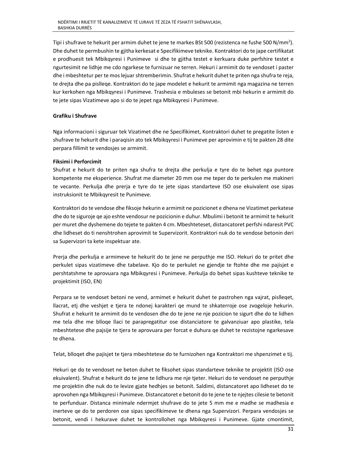Tipi i shufrave te hekurit per armim duhet te jene te markes BSt 500 (rezistenca ne fushe 500 N/mm<sup>2</sup>). Dhe duhet te permbushin te gjitha kerkesat e Specifikimeve teknike. Kontraktori do te jape certifikatat e prodhuesit tek Mbikqyresi i Punimeve si dhe te gjitha testet e kerkuara duke perfshire testet e ngurtesimit ne lidhje me cdo ngarkese te furnizuar ne terren. Hekuri i armimit do te vendoset i paster dhe i mbeshtetur per te mos lejuar shtremberimin. Shufrat e hekurit duhet te priten nga shufra te reja, te drejta dhe pa pislleqe. Kontraktori do te jape modelet e hekurit te armimit nga magazina ne terren kur kerkohen nga Mbikqyresi i Punimeve. Trashesia e mbuleses se betonit mbi hekurin e armimit do te jete sipas Vizatimeve apo si do te jepet nga Mbikqyresi i Punimeve.

## **Grafiku i Shufrave**

Nga informacioni i siguruar tek Vizatimet dhe ne Specifikimet, Kontraktori duhet te pregatite listen e shufrave te hekurit dhe i paraqisin ato tek Mbikqyresi i Punimeve per aprovimin e tij te pakten 28 dite perpara fillimit te vendosjes se armimit.

## **Fiksimi i Perforcimit**

Shufrat e hekurit do te priten nga shufra te drejta dhe perkulja e tyre do te behet nga puntore kompetente me eksperience. Shufrat me diameter 20 mm ose me teper do te perkulen me makineri te vecante. Perkulja dhe prerja e tyre do te jete sipas standarteve ISO ose ekuivalent ose sipas instruksionit te Mbikqyresit te Punimeve.

Kontraktori do te vendose dhe fiksoje hekurin e armimit ne pozicionet e dhena ne Vizatimet perkatese dhe do te siguroje qe ajo eshte vendosur ne pozicionin e duhur. Mbulimi i betonit te armimit te hekurit per muret dhe dyshemene do tejete te pakten 4 cm. Mbeshteteset, distancatoret perfshi ndaresit PVC dhe lidheset do ti nenshtrohen aprovimit te Supervizorit. Kontraktori nuk do te vendose betonin deri sa Supervizori ta kete inspektuar ate.

Prerja dhe perkulja e armimeve te hekurit do te jene ne perputhje me ISO. Hekuri do te pritet dhe perkulet sipas vizatimeve dhe tabelave. Kjo do te perkulet ne gjendje te ftohte dhe me pajisjet e pershtatshme te aprovuara nga Mbikqyresi i Punimeve. Perkulja do behet sipas kushteve teknike te projektimit (ISO, EN)

Perpara se te vendoset betoni ne vend, armimet e hekurit duhet te pastrohen nga vajrat, pislleqet, llacrat, etj dhe veshjet e tjera te ndonej karakteri qe mund te shkaterroje ose zvogeloje hekurin. Shufrat e hekurit te armimit do te vendosen dhe do te jene ne nje pozicion te sigurt dhe do te lidhen me tela dhe me blloqe llaci te parapregatitur ose distanciatore te galvanziuar apo plastike, tela mbeshtetese dhe pajsije te tjera te aprovuara per forcat e duhura qe duhet te rezistojne ngarkesave te dhena.

Telat, blloqet dhe pajisjet te tjera mbeshtetese do te furnizohen nga Kontraktori me shpenzimet e tij.

Hekuri qe do te vendoset ne beton duhet te fiksohet sipas standarteve teknike te projektit (ISO ose ekuivalent). Shufrat e hekurit do te jene te lidhura me nje tjeter. Hekuri do te vendoset ne perputhje me projektin dhe nuk do te levize gjate hedhjes se betonit. Saldimi, distancatoret apo lidheset do te aprovohen nga Mbikqyresi i Punimeve. Distancatoret e betonit do te jene te te njejtes cilesie te betonit te perfunduar. Distanca minimale ndermjet shufrave do te jete 5 mm me e madhe se madhesia e inerteve qe do te perdoren ose sipas specifikimeve te dhena nga Supervizori. Perpara vendosjes se betonit, vendi i hekurave duhet te kontrollohet nga Mbikqyresi i Punimeve. Gjate cmontimit,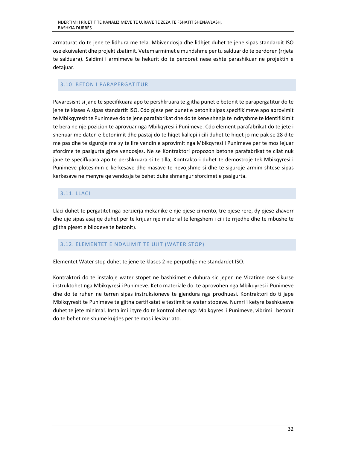armaturat do te jene te lidhura me tela. Mbivendosja dhe lidhjet duhet te jene sipas standardit ISO ose ekuivalent dhe projekt zbatimit. Vetem armimet e mundshme per tu salduar do te perdoren (rrjeta te salduara). Saldimi i armimeve te hekurit do te perdoret nese eshte parashikuar ne projektin e detajuar.

## 3.10. BETON I PARAPERGATITUR

Pavaresisht si jane te specifikuara apo te pershkruara te gjitha punet e betonit te parapergatitur do te jene te klases A sipas standartit ISO. Cdo pjese per punet e betonit sipas specifikimeve apo aprovimit te Mbikqyresit te Punimeve do te jene parafabrikat dhe do te kene shenja te ndryshme te identifikimit te bera ne nje pozicion te aprovuar nga Mbikqyresi i Punimeve. Cdo element parafabrikat do te jete i shenuar me daten e betonimit dhe pastaj do te hiqet kallepi i cili duhet te hiqet jo me pak se 28 dite me pas dhe te siguroje me sy te lire vendin e aprovimit nga Mbikqyresi i Punimeve per te mos lejuar sforcime te pasigurta gjate vendosjes. Ne se Kontraktori propozon betone parafabrikat te cilat nuk jane te specifkuara apo te pershkruara si te tilla, Kontraktori duhet te demostroje tek Mbikqyresi i Punimeve plotesimin e kerkesave dhe masave te nevojshme si dhe te siguroje armim shtese sipas kerkesave ne menyre qe vendosja te behet duke shmangur sforcimet e pasigurta.

# 3.11. LLACI

Llaci duhet te pergatitet nga perzierja mekanike e nje pjese cimento, tre pjese rere, dy pjese zhavorr dhe uje sipas asaj qe duhet per te krijuar nje material te lengshem i cili te rrjedhe dhe te mbushe te gjitha pjeset e blloqeve te betonit).

# 3.12. ELEMENTET E NDALIMIT TE UJIT (WATER STOP)

Elementet Water stop duhet te jene te klases 2 ne perputhje me standardet ISO.

Kontraktori do te instaloje water stopet ne bashkimet e duhura sic jepen ne Vizatime ose sikurse instruktohet nga Mbikqyresi i Punimeve. Keto materiale do te aprovohen nga Mbikqyresi i Punimeve dhe do te ruhen ne terren sipas instruksioneve te gjendura nga prodhuesi. Kontraktori do ti jape Mbikqyresit te Punimeve te gjitha certifkatat e testimit te water stopeve. Numri i ketyre bashkuesve duhet te jete minimal. Instalimi i tyre do te kontrollohet nga Mbikqyresi i Punimeve, vibrimi i betonit do te behet me shume kujdes per te mos i levizur ato.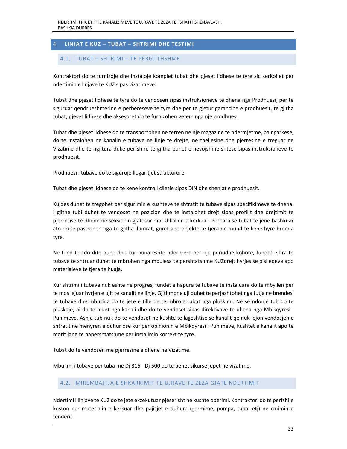# 4. **LINJAT E KUZ – TUBAT – SHTRIMI DHE TESTIMI**

## 4.1. TUBAT – SHTRIMI – TE PERGJITHSHME

Kontraktori do te furnizoje dhe instaloje komplet tubat dhe pjeset lidhese te tyre sic kerkohet per ndertimin e linjave te KUZ sipas vizatimeve.

Tubat dhe pjeset lidhese te tyre do te vendosen sipas instruksioneve te dhena nga Prodhuesi, per te siguruar qendrueshmerine e perbereseve te tyre dhe per te gjetur garancine e prodhuesit, te gjitha tubat, pjeset lidhese dhe aksesoret do te furnizohen vetem nga nje prodhues.

Tubat dhe pjeset lidhese do te transportohen ne terren ne nje magazine te ndermjetme, pa ngarkese, do te instalohen ne kanalin e tubave ne linje te drejte, ne thellesine dhe pjerresine e treguar ne Vizatime dhe te ngjitura duke perfshire te gjitha punet e nevojshme shtese sipas instruksioneve te prodhuesit.

Prodhuesi i tubave do te siguroje llogaritjet strukturore.

Tubat dhe pjeset lidhese do te kene kontroll cilesie sipas DIN dhe shenjat e prodhuesit.

Kujdes duhet te tregohet per sigurimin e kushteve te shtratit te tubave sipas specifikimeve te dhena. I gjithe tubi duhet te vendoset ne pozicion dhe te instalohet drejt sipas profilit dhe drejtimit te pjerresise te dhene ne seksionin gjatesor mbi shkallen e kerkuar. Perpara se tubat te jene bashkuar ato do te pastrohen nga te gjitha llumrat, guret apo objekte te tjera qe mund te kene hyre brenda tyre.

Ne fund te cdo dite pune dhe kur puna eshte nderprere per nje periudhe kohore, fundet e lira te tubave te shtruar duhet te mbrohen nga mbulesa te pershtatshme KUZdrejt hyrjes se pislleqeve apo materialeve te tjera te huaja.

Kur shtrimi i tubave nuk eshte ne progres, fundet e hapura te tubave te instaluara do te mbyllen per te mos lejuar hyrjen e ujit te kanalit ne linje. Gjithmone uji duhet te perjashtohet nga futja ne brendesi te tubave dhe mbushja do te jete e tille qe te mbroje tubat nga pluskimi. Ne se ndonje tub do te pluskoje, ai do te hiqet nga kanali dhe do te vendoset sipas direktivave te dhena nga Mbikqyresi i Punimeve. Asnje tub nuk do te vendoset ne kushte te lageshtise se kanalit qe nuk lejon vendosjen e shtratit ne menyren e duhur ose kur per opinionin e Mbikqyresi i Punimeve, kushtet e kanalit apo te motit jane te papershtatshme per instalimin korrekt te tyre.

Tubat do te vendosen me pjerresine e dhene ne Vizatime.

Mbulimi i tubave per tuba me Dj 315 ‐ Dj 500 do te behet sikurse jepet ne vizatime.

#### 4.2. MIREMBAJTJA E SHKARKIMIT TE UJRAVE TE ZEZA GJATE NDERTIMIT

Ndertimi i linjave te KUZ do te jete ekzekutuar pjeserisht ne kushte operimi. Kontraktori do te perfshije koston per materialin e kerkuar dhe pajisjet e duhura (germime, pompa, tuba, etj) ne cmimin e tenderit.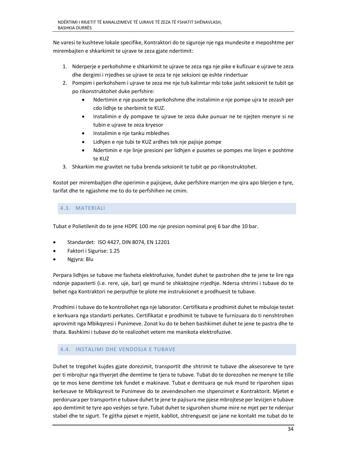Ne varesi te kushteve lokale specifike, Kontraktori do te siguroje nje nga mundesite e meposhtme per mirembajten e shkarkimit te ujrave te zeza gjate ndertimit:

- 1. Nderperje e perkohshme e shkarkimit te ujrave te zeza nga nje pike e kufizuar e ujrave te zeza dhe dergimi i rrjedhes se ujrave te zeza te nje seksioni qe eshte rindertuar
- 2. Pompim i perkohshem i ujrave te zeza me nje tub kalimtar mbi toke jasht seksionit te tubit qe po rikonstruktohet duke perfshire:
	- Ndertimin e nje pusete te perkohshme dhe instalimin e nje pompe ujra te zezash per cdo lidhje te sherbimit te KUZ.
	- Instalimin e dy pompave te ujrave te zeza duke punuar ne te njejten menyre si ne tubin e ujrave te zeza kryesor
	- Instalimin e nje tanku mbledhes
	- Lidhjen e nje tubi te KUZ ardhes tek nje pajisje pompe
	- Ndertimin e nje linje presioni per lidhjen e pusetes se pompes me linjen e poshtme te KUZ
- 3. Shkarkim me gravitet ne tuba brenda seksionit te tubit qe po rikonstruktohet.

Kostot per mirembajtjen dhe operimin e pajisjeve, duke perfshire marrjen me qira apo blerjen e tyre, tarifat dhe te ngjashme me to do te perfshihen ne cmim.

## 4.3. MATERIALI

Tubat e Polietilenit do te jene HDPE 100 me nje presion nominal prej 6 bar dhe 10 bar.

- Standardet: ISO 4427, DIN 8074, EN 12201
- Faktori i Sigurise: 1.25
- Ngjyra: Blu

Perpara lidhjes se tubave me fasheta elektrofuzive, fundet duhet te pastrohen dhe te jene te lire nga ndonje papasterti (i.e. rere, uje, bar) qe mund te shkaktojne rrjedhje. Ndersa shtrimi i tubave do te behet nga Kontraktori ne perputhje te plote me instruksionet e prodhuesit te tubave.

Prodhimi i tubave do te kontrollohet nga nje laborator. Certifikata e prodhimit duhet te mbuloje testet e kerkuara nga standarti perkates. Certifikatat e prodhimit te tubave te furnizuara do ti nenshtrohen aprovimit nga Mbikqyresi i Punimeve. Zonat ku do te behen bashkimet duhet te jene te pastra dhe te thata. Bashkimi i tubave do te realizohet vetem me manikota elektrofuzive.

## 4.4. INSTALIMI DHE VENDOSJA E TUBAVE

Duhet te tregohet kujdes gjate dorezimit, transportit dhe shtrimit te tubave dhe aksesoreve te tyre per ti mbrojtur nga thyerjet dhe demtime te tjera te tubave. Tubat do te dorezohen ne menyre te tille qe te mos kene demtime tek fundet e makinave. Tubat e demtuara qe nuk mund te riparohen sipas kerkesave te Mbikqyresit te Punimeve do te zevendesohen me shpenzimet e Kontraktorit. Mjetet e perdoruara per transportin e tubave duhet te jene te pajisura me pjese mbrojtese per levizjen e tubave apo demtimit te tyre apo veshjes se tyre. Tubat duhet te sigurohen shume mire ne mjet per te ndenjur stabel dhe te sigurt. Te gjitha pjeset e mjetit, kabllot, shtrenguesit qe jane ne kontakt me tubat do te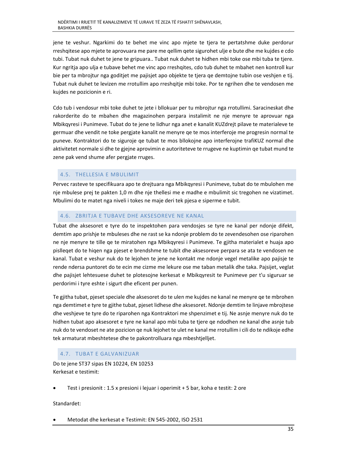jene te veshur. Ngarkimi do te behet me vinc apo mjete te tjera te pertatshme duke perdorur rreshqitese apo mjete te aprovuara me pare me qellim qete sigurohet ulje e bute dhe me kujdes e cdo tubi. Tubat nuk duhet te jene te gripuara.. Tubat nuk duhet te hidhen mbi toke ose mbi tuba te tjere. Kur ngritja apo ulja e tubave behet me vinc apo rreshqites, cdo tub duhet te mbahet nen kontroll kur bie per ta mbrojtur nga goditjet me pajisjet apo objekte te tjera qe demtojne tubin ose veshjen e tij. Tubat nuk duhet te levizen me rrotullim apo rreshqitje mbi toke. Por te ngrihen dhe te vendosen me kujdes ne pozicionin e ri.

Cdo tub i vendosur mbi toke duhet te jete i bllokuar per tu mbrojtur nga rrotullimi. Saracineskat dhe rakorderite do te mbahen dhe magazinohen perpara instalimit ne nje menyre te aprovuar nga Mbikqyresi i Punimeve. Tubat do te jene te lidhur nga anet e kanalit KUZdrejt pilave te materialeve te germuar dhe vendit ne toke pergjate kanalit ne menyre qe te mos interferoje me progresin normal te puneve. Kontraktori do te siguroje qe tubat te mos bllokojne apo interferojne trafiKUZ normal dhe aktivitetet normale si dhe te gjejne aprovimin e autoriteteve te rrugeve ne kuptimin qe tubat mund te zene pak vend shume afer pergjate rruges.

# 4.5. THELLESIA E MBULIMIT

Pervec rasteve te specifikuara apo te drejtuara nga Mbikqyresi i Punimeve, tubat do te mbulohen me nje mbulese prej te pakten 1,0 m dhe nje thellesi me e madhe e mbulimit sic tregohen ne vizatimet. Mbulimi do te matet nga niveli i tokes ne maje deri tek pjesa e siperme e tubit.

# 4.6. ZBRITJA E TUBAVE DHE AKSESOREVE NE KANAL

Tubat dhe aksesoret e tyre do te inspektohen para vendosjes se tyre ne kanal per ndonje difekt, demtim apo prishje te mbuleses dhe ne rast se ka ndonje problem do te zevendesohen ose riparohen ne nje menyre te tille qe te miratohen nga Mbikqyresi i Punimeve. Te gjitha materialet e huaja apo pislleqet do te hiqen nga pjeset e brendshme te tubit dhe aksesoreve perpara se ata te vendosen ne kanal. Tubat e veshur nuk do te lejohen te jene ne kontakt me ndonje vegel metalike apo pajisje te rende ndersa puntoret do te ecin me cizme me lekure ose me taban metalik dhe taka. Pajsijet, veglat dhe pajisjet lehtesuese duhet te plotesojne kerkesat e Mbikqyresit te Punimeve per t'u siguruar se perdorimi i tyre eshte i sigurt dhe eficent per punen.

Te gjitha tubat, pjeset speciale dhe aksesoret do te ulen me kujdes ne kanal ne menyre qe te mbrohen nga demtimet e tyre te gjithe tubat, pjeset lidhese dhe aksesoret. Ndonje demtim te linjave mbrojtese dhe veshjeve te tyre do te riparohen nga Kontraktori me shpenzimet e tij. Ne asnje menyre nuk do te hidhen tubat apo aksesoret e tyre ne kanal apo mbi tuba te tjere qe ndodhen ne kanal dhe asnje tub nuk do te vendoset ne ate pozicion qe nuk lejohet te ulet ne kanal me rrotullim i cili do te ndikoje edhe tek armaturat mbeshtetese dhe te pakontrolluara nga mbeshtjelljet.

# 4.7. TUBAT E GALVANIZUAR

Do te jene ST37 sipas EN 10224, EN 10253 Kerkesat e testimit:

Test i presionit : 1.5 x presioni i lejuar i operimit + 5 bar, koha e testit: 2 ore

Standardet:

Metodat dhe kerkesat e Testimit: EN 545‐2002, ISO 2531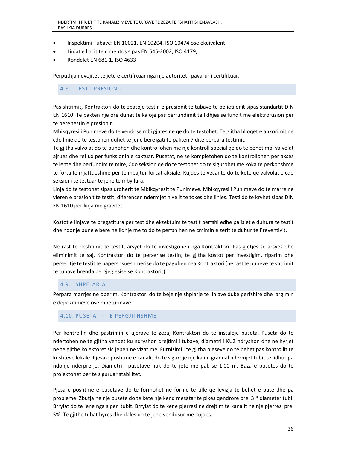- Inspektimi Tubave: EN 10021, EN 10204, ISO 10474 ose ekuivalent
- Linjat e llacit te cimentos sipas EN 545‐2002, ISO 4179,
- Rondelet EN 681‐1, ISO 4633

Perputhja nevojitet te jete e certifikuar nga nje autoritet i pavarur i certifikuar.

## 4.8. TEST I PRESIONIT

Pas shtrimit, Kontraktori do te zbatoje testin e presionit te tubave te polietilenit sipas standartit DIN EN 1610. Te pakten nje ore duhet te kaloje pas perfundimit te lidhjes se fundit me elektrofuzion per te bere testin e presionit.

Mbikqyresi i Punimeve do te vendose mbi gjatesine qe do te testohet. Te gjitha blloqet e ankorimit ne cdo linje do te testohen duhet te jene bere gati te pakten 7 dite perpara testimit.

Te gjitha valvolat do te punohen dhe kontrollohen me nje kontroll special qe do te behet mbi valvolat ajrues dhe reflux per funksionin e caktuar. Pusetat, ne se kompletohen do te kontrollohen per akses te lehte dhe perfundim te mire, Cdo seksion qe do te testohet do te sigurohet me koka te perkohshme te forta te mjaftueshme per te mbajtur forcat aksiale. Kujdes te vecante do te kete qe valvolat e cdo seksioni te testuar te jene te mbyllura.

Linja do te testohet sipas urdherit te Mbikqyresit te Punimeve. Mbikqyresi i Punimeve do te marre ne vleren e presionit te testit, diferencen ndermjet nivelit te tokes dhe linjes. Testi do te kryhet sipas DIN EN 1610 per linja me gravitet.

Kostot e linjave te pregatitura per test dhe ekzektuim te testit perfshi edhe pajisjet e duhura te testit dhe ndonje pune e bere ne lidhje me to do te perfshihen ne cmimin e zerit te duhur te Preventivit.

Ne rast te deshtimit te testit, arsyet do te investigohen nga Kontraktori. Pas gjetjes se arsyes dhe eliminimit te saj, Kontraktori do te perserise testin, te gjitha kostot per investigim, riparim dhe perseritje te testit te papershkueshmerise do te paguhen nga Kontraktori (ne rast te puneve te shtrimit te tubave brenda pergjegjesise se Kontraktorit).

## 4.9. SHPELARJA

Perpara marrjes ne operim, Kontraktori do te beje nje shplarje te linjave duke perfshire dhe largimin e depozitimeve ose mbeturinave.

#### 4.10. PUSETAT – TE PERGJITHSHME

Per kontrollin dhe pastrimin e ujerave te zeza, Kontraktori do te instaloje puseta. Puseta do te ndertohen ne te gjitha vendet ku ndryshon drejtimi i tubave, diametri i KUZ ndryshon dhe ne hyrjet ne te gjithe kolektoret sic jepen ne vizatime. Furnizimi i te gjitha pjeseve do te behet pas kontrollit te kushteve lokale. Pjesa e poshtme e kanalit do te siguroje nje kalim gradual ndermjet tubit te lidhur pa ndonje nderprerje. Diametri i pusetave nuk do te jete me pak se 1.00 m. Baza e pusetes do te projektohet per te siguruar stabilitet.

Pjesa e poshtme e pusetave do te formohet ne forme te tille qe levizja te behet e bute dhe pa probleme. Zbutja ne nje pusete do te kete nje kend mesatar te pikes qendrore prej 3 \* diameter tubi. Brrylat do te jene nga siper tubit. Brrylat do te kene pjerresi ne drejtim te kanalit ne nje pjerresi prej 5%. Te gjithe tubat hyres dhe dales do te jene vendosur me kujdes.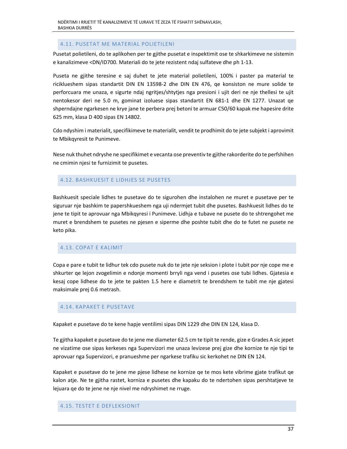## 4.11. PUSETAT ME MATERIAL POLIETILENI

Pusetat polietileni, do te aplikohen per te gjithe pusetat e inspektimit ose te shkarkimeve ne sistemin e kanalizimeve <DN/ID700. Materiali do te jete rezistent ndaj sulfateve dhe ph 1‐13.

Puseta ne gjithe teresine e saj duhet te jete material polietileni, 100% i paster pa material te riciklueshem sipas standartit DIN EN 13598‐2 dhe DIN EN 476, qe konsiston ne mure solide te perforcuara me unaza, e sigurte ndaj ngritjes/shtytjes nga presioni i ujit deri ne nje thellesi te ujit nentokesor deri ne 5.0 m, gominat izoluese sipas standartit EN 681‐1 dhe EN 1277. Unazat qe shperndajne ngarkesen ne krye jane te perbera prej betoni te armuar C50/60 kapak me hapesire drite 625 mm, klasa D 400 sipas EN 14802.

Cdo ndyshim i materialit, specifikimeve te materialit, vendit te prodhimit do te jete subjekt i aprovimit te Mbikqyresit te Punimeve.

Nese nuk thuhet ndryshe ne specifikimet e vecanta ose preventiv te gjithe rakorderite do te perfshihen ne cmimin njesi te furnizimit te pusetes.

#### 4.12. BASHKUESIT E LIDHJES SE PUSETES

Bashkuesit speciale lidhes te pusetave do te sigurohen dhe instalohen ne muret e pusetave per te siguruar nje bashkim te papershkueshem nga uji ndermjet tubit dhe pusetes. Bashkuesit lidhes do te jene te tipit te aprovuar nga Mbikqyresi i Punimeve. Lidhja e tubave ne pusete do te shtrengohet me muret e brendshem te pusetes ne pjesen e siperme dhe poshte tubit dhe do te futet ne pusete ne keto pika.

#### 4.13. COPAT E KALIMIT

Copa e pare e tubit te lidhur tek cdo pusete nuk do te jete nje seksion i plote i tubit por nje cope me e shkurter qe lejon zvogelimin e ndonje momenti brryli nga vend i pusetes ose tubi lidhes. Gjatesia e kesaj cope lidhese do te jete te pakten 1.5 here e diametrit te brendshem te tubit me nje gjatesi maksimale prej 0.6 metrash.

#### 4.14. KAPAKET E PUSETAVE

Kapaket e pusetave do te kene hapje ventilimi sipas DIN 1229 dhe DIN EN 124, klasa D.

Te gjitha kapaket e pusetave do te jene me diameter 62.5 cm te tipit te rende, gize e Grades A sic jepet ne vizatime ose sipas kerkeses nga Supervizori me unaza levizese prej gize dhe kornize te nje tipi te aprovuar nga Supervizori, e pranueshme per ngarkese trafiku sic kerkohet ne DIN EN 124.

Kapaket e pusetave do te jene me pjese lidhese ne kornize qe te mos kete vibrime gjate trafikut qe kalon atje. Ne te gjitha rastet, korniza e pusetes dhe kapaku do te ndertohen sipas pershtatjeve te lejuara qe do te jene ne nje nivel me ndryshimet ne rruge.

#### 4.15. TESTET E DEFLEKSIONIT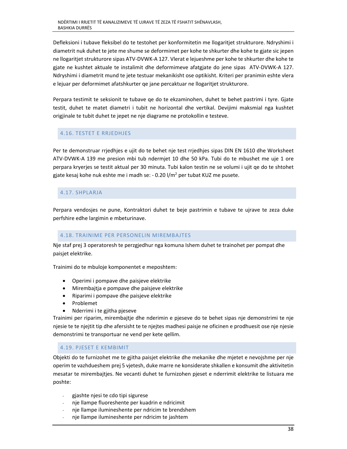Defleksioni i tubave fleksibel do te testohet per konformitetin me llogaritjet strukturore. Ndryshimi i diametrit nuk duhet te jete me shume se deformimet per kohe te shkurter dhe kohe te gjate sic jepen ne llogaritjet strukturore sipas ATV‐DVWK‐A 127. Vlerat e lejueshme per kohe te shkurter dhe kohe te gjate ne kushtet aktuale te instalimit dhe deformimeve afatgjate do jene sipas ATV‐DVWK‐A 127. Ndryshimi i diametrit mund te jete testuar mekanikisht ose optikisht. Kriteri per pranimin eshte vlera e lejuar per deformimet afatshkurter qe jane percaktuar ne llogaritjet strukturore.

Perpara testimit te seksionit te tubave qe do te ekzaminohen, duhet te behet pastrimi i tyre. Gjate testit, duhet te matet diametri i tubit ne horizontal dhe vertikal. Devijimi maksmial nga kushtet origjinale te tubit duhet te jepet ne nje diagrame ne protokollin e testeve.

## 4.16. TESTET E RRJEDHJES

Per te demonstruar rrjedhjes e ujit do te behet nje test rrjedhjes sipas DIN EN 1610 dhe Worksheet ATV‐DVWK‐A 139 me presion mbi tub ndermjet 10 dhe 50 kPa. Tubi do te mbushet me uje 1 ore perpara kryerjes se testit aktual per 30 minuta. Tubi kalon testin ne se volumi i ujit qe do te shtohet gjate kesaj kohe nuk eshte me i madh se: - 0.20 l/m<sup>2</sup> per tubat KUZ me pusete.

## 4.17. SHPLARJA

Perpara vendosjes ne pune, Kontraktori duhet te beje pastrimin e tubave te ujrave te zeza duke perfshire edhe largimin e mbeturinave.

## 4.18. TRAINIME PER PERSONELIN MIREMBAJTES

Nje staf prej 3 operatoresh te perzgjedhur nga komuna Ishem duhet te trainohet per pompat dhe paisjet elektrike.

Trainimi do te mbuloje komponentet e meposhtem:

- Operimi i pompave dhe paisjeve elektrike
- Mirembajtja e pompave dhe paisjeve elektrike
- Riparimi i pompave dhe paisjeve elektrike
- Problemet
- Nderrimi i te gjitha pjeseve

Trainimi per riparim, mirembajtje dhe nderimin e pjeseve do te behet sipas nje demonstrimi te nje njesie te te njejtit tip dhe afersisht te te njejtes madhesi paisje ne oficinen e prodhuesit ose nje njesie demonstrimi te transportuar ne vend per kete qellim.

## 4.19. PJESET E KEMBIMIT

Objekti do te furnizohet me te gjitha paisjet elektrike dhe mekanike dhe mjetet e nevojshme per nje operim te vazhdueshem prej 5 vjetesh, duke marre ne konsiderate shkallen e konsumit dhe aktivitetin mesatar te mirembajtjes. Ne vecanti duhet te furnizohen pjeset e nderrimit elektrike te listuara me poshte:

- ‐ gjashte njesi te cdo tipi sigurese
- ‐ nje llampe fluoreshente per kuadrin e ndricimit
- ‐ nje llampe ilumineshente per ndricim te brendshem
- ‐ nje llampe ilumineshente per ndricim te jashtem